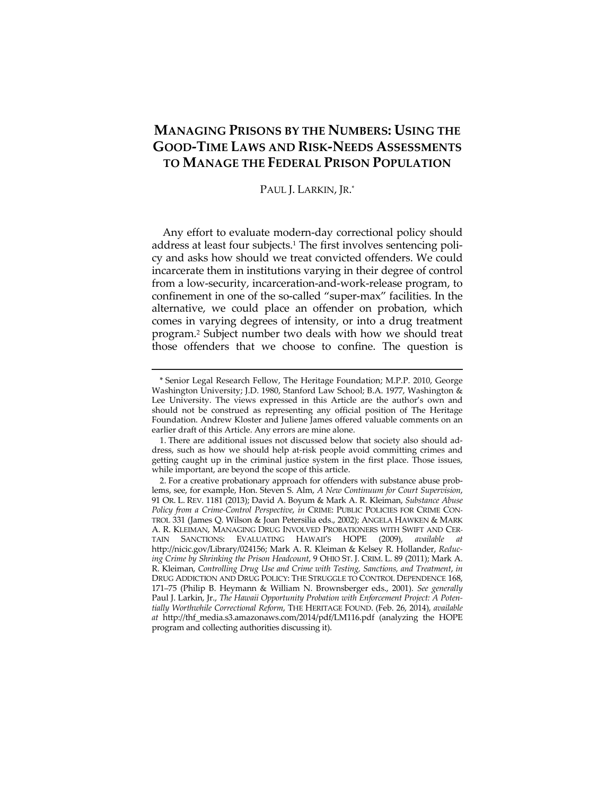# **MANAGING PRISONS BY THE NUMBERS: USING THE GOOD-TIME LAWS AND RISK-NEEDS ASSESSMENTS TO MANAGE THE FEDERAL PRISON POPULATION**

## PAUL J. LARKIN, JR. \*

Any effort to evaluate modern-day correctional policy should address at least four subjects.<sup>1</sup> The first involves sentencing policy and asks how should we treat convicted offenders. We could incarcerate them in institutions varying in their degree of control from a low-security, incarceration-and-work-release program, to confinement in one of the so-called "super-max" facilities. In the alternative, we could place an offender on probation, which comes in varying degrees of intensity, or into a drug treatment program.2 Subject number two deals with how we should treat those offenders that we choose to confine. The question is

<sup>\*</sup> Senior Legal Research Fellow, The Heritage Foundation; M.P.P. 2010, George Washington University; J.D. 1980, Stanford Law School; B.A. 1977, Washington & Lee University. The views expressed in this Article are the author's own and should not be construed as representing any official position of The Heritage Foundation. Andrew Kloster and Juliene James offered valuable comments on an earlier draft of this Article. Any errors are mine alone.

 <sup>1.</sup> There are additional issues not discussed below that society also should address, such as how we should help at-risk people avoid committing crimes and getting caught up in the criminal justice system in the first place. Those issues, while important, are beyond the scope of this article.

 <sup>2.</sup> For a creative probationary approach for offenders with substance abuse problems, see, for example, Hon. Steven S. Alm, *A New Continuum for Court Supervision*, 91 OR. L. REV. 1181 (2013); David A. Boyum & Mark A. R. Kleiman, *Substance Abuse Policy from a Crime-Control Perspective*, *in* CRIME: PUBLIC POLICIES FOR CRIME CON-TROL 331 (James Q. Wilson & Joan Petersilia eds., 2002); ANGELA HAWKEN & MARK A. R. KLEIMAN, MANAGING DRUG INVOLVED PROBATIONERS WITH SWIFT AND CER-TAIN SANCTIONS: EVALUATING HAWAII'S HOPE (2009), *available at*  http://nicic.gov/Library/024156; Mark A. R. Kleiman & Kelsey R. Hollander, *Reducing Crime by Shrinking the Prison Headcount*, 9 OHIO ST. J. CRIM. L. 89 (2011); Mark A. R. Kleiman, *Controlling Drug Use and Crime with Testing, Sanctions, and Treatment*, *in* DRUG ADDICTION AND DRUG POLICY: THE STRUGGLE TO CONTROL DEPENDENCE 168, 171–75 (Philip B. Heymann & William N. Brownsberger eds., 2001). *See generally* Paul J. Larkin, Jr., *The Hawaii Opportunity Probation with Enforcement Project: A Potentially Worthwhile Correctional Reform*, THE HERITAGE FOUND. (Feb. 26, 2014), *available at* http://thf\_media.s3.amazonaws.com/2014/pdf/LM116.pdf (analyzing the HOPE program and collecting authorities discussing it).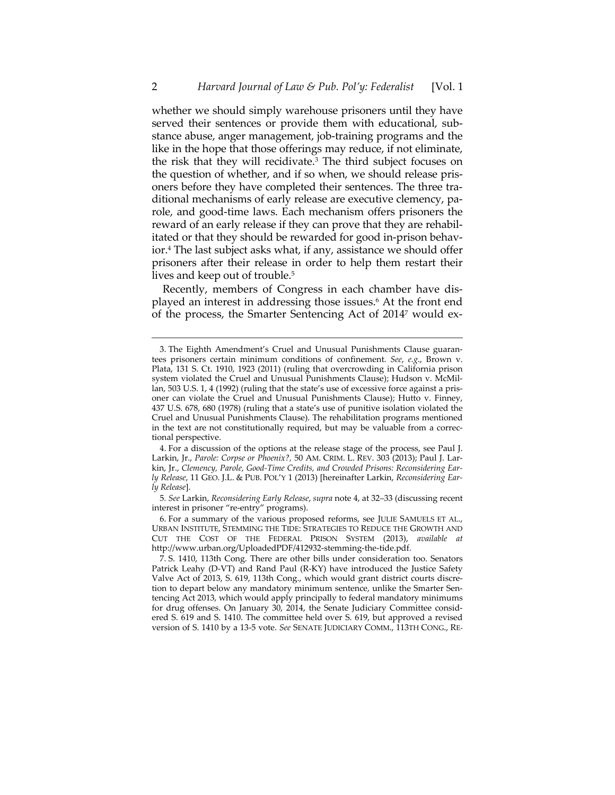whether we should simply warehouse prisoners until they have served their sentences or provide them with educational, substance abuse, anger management, job-training programs and the like in the hope that those offerings may reduce, if not eliminate, the risk that they will recidivate.3 The third subject focuses on the question of whether, and if so when, we should release prisoners before they have completed their sentences. The three traditional mechanisms of early release are executive clemency, parole, and good-time laws. Each mechanism offers prisoners the reward of an early release if they can prove that they are rehabilitated or that they should be rewarded for good in-prison behavior.4 The last subject asks what, if any, assistance we should offer prisoners after their release in order to help them restart their lives and keep out of trouble.<sup>5</sup>

Recently, members of Congress in each chamber have displayed an interest in addressing those issues.6 At the front end of the process, the Smarter Sentencing Act of 20147 would ex-

 <sup>3.</sup> The Eighth Amendment's Cruel and Unusual Punishments Clause guarantees prisoners certain minimum conditions of confinement. *See*, *e.g*., Brown v. Plata, 131 S. Ct. 1910, 1923 (2011) (ruling that overcrowding in California prison system violated the Cruel and Unusual Punishments Clause); Hudson v. McMillan, 503 U.S. 1, 4 (1992) (ruling that the state's use of excessive force against a prisoner can violate the Cruel and Unusual Punishments Clause); Hutto v. Finney, 437 U.S. 678, 680 (1978) (ruling that a state's use of punitive isolation violated the Cruel and Unusual Punishments Clause). The rehabilitation programs mentioned in the text are not constitutionally required, but may be valuable from a correctional perspective.

 <sup>4.</sup> For a discussion of the options at the release stage of the process, see Paul J. Larkin, Jr., *Parole: Corpse or Phoenix?,* 50 AM. CRIM. L. REV. 303 (2013); Paul J. Larkin, Jr., *Clemency, Parole, Good-Time Credits, and Crowded Prisons: Reconsidering Early Release*, 11 GEO. J.L. & PUB. POL'Y 1 (2013) [hereinafter Larkin, *Reconsidering Early Release*].

<sup>5</sup>*. See* Larkin, *Reconsidering Early Release*, *supra* note 4, at 32–33 (discussing recent interest in prisoner "re-entry" programs).

 <sup>6.</sup> For a summary of the various proposed reforms, see JULIE SAMUELS ET AL., URBAN INSTITUTE, STEMMING THE TIDE: STRATEGIES TO REDUCE THE GROWTH AND CUT THE COST OF THE FEDERAL PRISON SYSTEM (2013), *available at* http://www.urban.org/UploadedPDF/412932-stemming-the-tide.pdf.

 <sup>7.</sup> S. 1410, 113th Cong. There are other bills under consideration too. Senators Patrick Leahy (D-VT) and Rand Paul (R-KY) have introduced the Justice Safety Valve Act of 2013, S. 619, 113th Cong., which would grant district courts discretion to depart below any mandatory minimum sentence, unlike the Smarter Sentencing Act 2013, which would apply principally to federal mandatory minimums for drug offenses. On January 30, 2014, the Senate Judiciary Committee considered S. 619 and S. 1410. The committee held over S. 619, but approved a revised version of S. 1410 by a 13-5 vote. *See* SENATE JUDICIARY COMM., 113TH CONG., RE-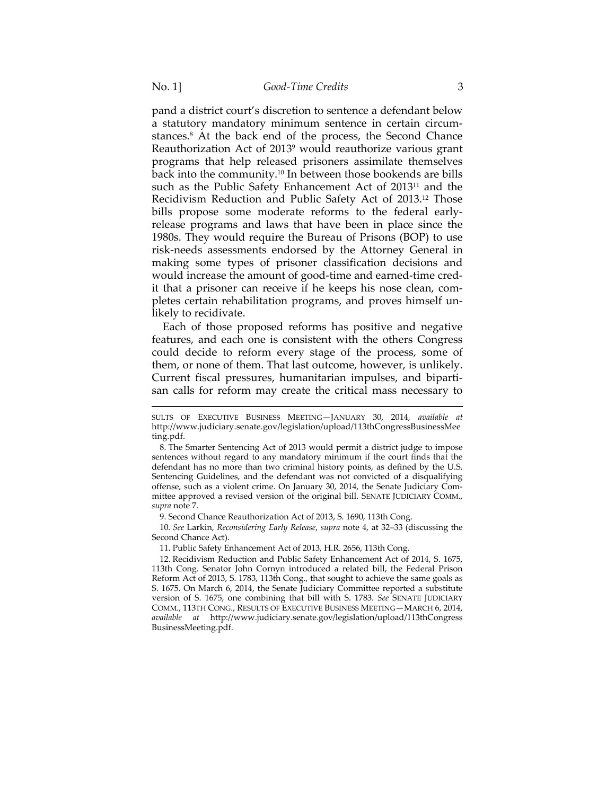pand a district court's discretion to sentence a defendant below a statutory mandatory minimum sentence in certain circumstances.8 At the back end of the process, the Second Chance Reauthorization Act of 20139 would reauthorize various grant programs that help released prisoners assimilate themselves back into the community.10 In between those bookends are bills such as the Public Safety Enhancement Act of 2013<sup>11</sup> and the Recidivism Reduction and Public Safety Act of 2013.12 Those bills propose some moderate reforms to the federal earlyrelease programs and laws that have been in place since the 1980s. They would require the Bureau of Prisons (BOP) to use risk-needs assessments endorsed by the Attorney General in making some types of prisoner classification decisions and would increase the amount of good-time and earned-time credit that a prisoner can receive if he keeps his nose clean, completes certain rehabilitation programs, and proves himself unlikely to recidivate.

Each of those proposed reforms has positive and negative features, and each one is consistent with the others Congress could decide to reform every stage of the process, some of them, or none of them. That last outcome, however, is unlikely. Current fiscal pressures, humanitarian impulses, and bipartisan calls for reform may create the critical mass necessary to

 $\overline{a}$ 

10*. See* Larkin, *Reconsidering Early Release*, *supra* note 4, at 32–33 (discussing the Second Chance Act).

SULTS OF EXECUTIVE BUSINESS MEETING—JANUARY 30, 2014, *available at* http://www.judiciary.senate.gov/legislation/upload/113thCongressBusinessMee ting.pdf.

 <sup>8.</sup> The Smarter Sentencing Act of 2013 would permit a district judge to impose sentences without regard to any mandatory minimum if the court finds that the defendant has no more than two criminal history points, as defined by the U.S. Sentencing Guidelines, and the defendant was not convicted of a disqualifying offense, such as a violent crime. On January 30, 2014, the Senate Judiciary Committee approved a revised version of the original bill. SENATE JUDICIARY COMM., *supra* note 7.

 <sup>9.</sup> Second Chance Reauthorization Act of 2013, S. 1690, 113th Cong.

 <sup>11.</sup> Public Safety Enhancement Act of 2013, H.R. 2656, 113th Cong.

 <sup>12.</sup> Recidivism Reduction and Public Safety Enhancement Act of 2014, S. 1675, 113th Cong. Senator John Cornyn introduced a related bill, the Federal Prison Reform Act of 2013, S. 1783, 113th Cong., that sought to achieve the same goals as S. 1675. On March 6, 2014, the Senate Judiciary Committee reported a substitute version of S. 1675, one combining that bill with S. 1783. *See* SENATE JUDICIARY COMM., 113TH CONG., RESULTS OF EXECUTIVE BUSINESS MEETING—MARCH 6, 2014, *available at* http://www.judiciary.senate.gov/legislation/upload/113thCongress BusinessMeeting.pdf.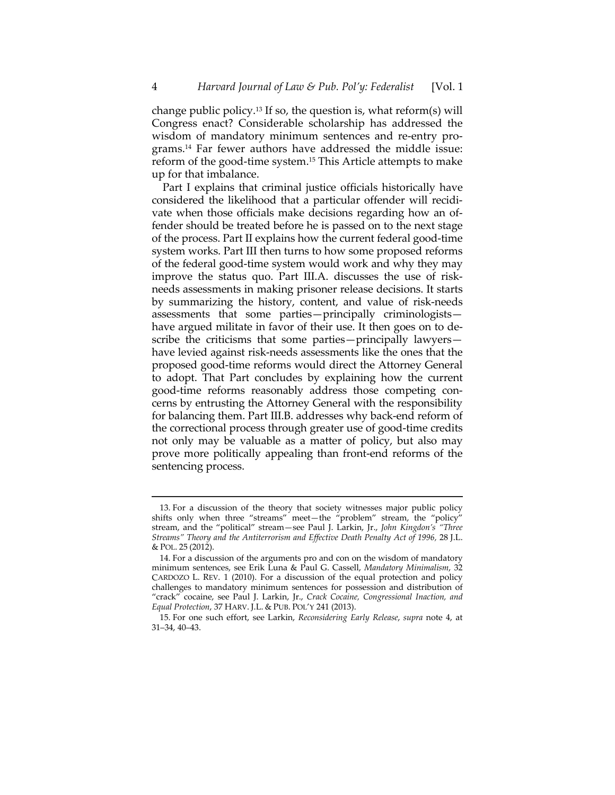change public policy.13 If so, the question is, what reform(s) will Congress enact? Considerable scholarship has addressed the wisdom of mandatory minimum sentences and re-entry programs.14 Far fewer authors have addressed the middle issue: reform of the good-time system.15 This Article attempts to make up for that imbalance.

Part I explains that criminal justice officials historically have considered the likelihood that a particular offender will recidivate when those officials make decisions regarding how an offender should be treated before he is passed on to the next stage of the process. Part II explains how the current federal good-time system works. Part III then turns to how some proposed reforms of the federal good-time system would work and why they may improve the status quo. Part III.A. discusses the use of riskneeds assessments in making prisoner release decisions. It starts by summarizing the history, content, and value of risk-needs assessments that some parties—principally criminologists have argued militate in favor of their use. It then goes on to describe the criticisms that some parties—principally lawyers have levied against risk-needs assessments like the ones that the proposed good-time reforms would direct the Attorney General to adopt. That Part concludes by explaining how the current good-time reforms reasonably address those competing concerns by entrusting the Attorney General with the responsibility for balancing them. Part III.B. addresses why back-end reform of the correctional process through greater use of good-time credits not only may be valuable as a matter of policy, but also may prove more politically appealing than front-end reforms of the sentencing process.

 <sup>13.</sup> For a discussion of the theory that society witnesses major public policy shifts only when three "streams" meet—the "problem" stream, the "policy" stream, and the "political" stream—see Paul J. Larkin, Jr., *John Kingdon's "Three Streams" Theory and the Antiterrorism and Effective Death Penalty Act of 1996,* 28 J.L. & POL. 25 (2012).

 <sup>14.</sup> For a discussion of the arguments pro and con on the wisdom of mandatory minimum sentences, see Erik Luna & Paul G. Cassell, *Mandatory Minimalism*, 32 CARDOZO L. REV. 1 (2010). For a discussion of the equal protection and policy challenges to mandatory minimum sentences for possession and distribution of "crack" cocaine, see Paul J. Larkin, Jr., *Crack Cocaine, Congressional Inaction, and Equal Protection*, 37 HARV. J.L. & PUB. POL'Y 241 (2013).

 <sup>15.</sup> For one such effort, see Larkin, *Reconsidering Early Release*, *supra* note 4, at 31–34, 40–43.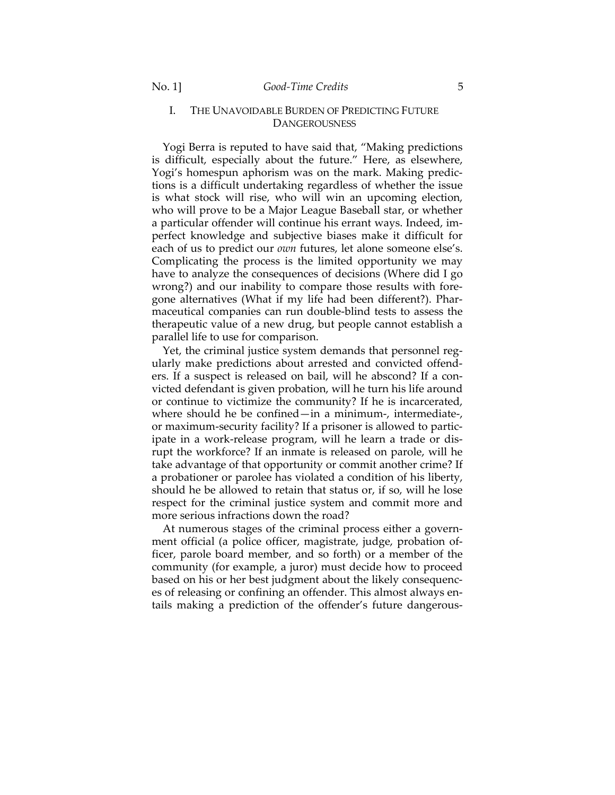# I. THE UNAVOIDABLE BURDEN OF PREDICTING FUTURE **DANGEROUSNESS**

Yogi Berra is reputed to have said that, "Making predictions is difficult, especially about the future." Here, as elsewhere, Yogi's homespun aphorism was on the mark. Making predictions is a difficult undertaking regardless of whether the issue is what stock will rise, who will win an upcoming election, who will prove to be a Major League Baseball star, or whether a particular offender will continue his errant ways. Indeed, imperfect knowledge and subjective biases make it difficult for each of us to predict our *own* futures, let alone someone else's. Complicating the process is the limited opportunity we may have to analyze the consequences of decisions (Where did I go wrong?) and our inability to compare those results with foregone alternatives (What if my life had been different?). Pharmaceutical companies can run double-blind tests to assess the therapeutic value of a new drug, but people cannot establish a parallel life to use for comparison.

Yet, the criminal justice system demands that personnel regularly make predictions about arrested and convicted offenders. If a suspect is released on bail, will he abscond? If a convicted defendant is given probation, will he turn his life around or continue to victimize the community? If he is incarcerated, where should he be confined—in a minimum-, intermediate-, or maximum-security facility? If a prisoner is allowed to participate in a work-release program, will he learn a trade or disrupt the workforce? If an inmate is released on parole, will he take advantage of that opportunity or commit another crime? If a probationer or parolee has violated a condition of his liberty, should he be allowed to retain that status or, if so, will he lose respect for the criminal justice system and commit more and more serious infractions down the road?

At numerous stages of the criminal process either a government official (a police officer, magistrate, judge, probation officer, parole board member, and so forth) or a member of the community (for example, a juror) must decide how to proceed based on his or her best judgment about the likely consequences of releasing or confining an offender. This almost always entails making a prediction of the offender's future dangerous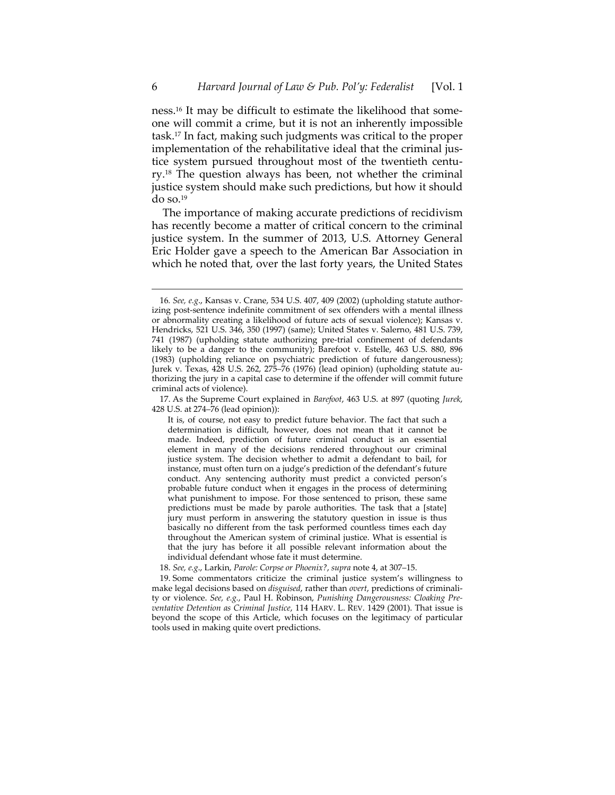ness.16 It may be difficult to estimate the likelihood that someone will commit a crime, but it is not an inherently impossible task.17 In fact, making such judgments was critical to the proper implementation of the rehabilitative ideal that the criminal justice system pursued throughout most of the twentieth century.18 The question always has been, not whether the criminal justice system should make such predictions, but how it should do so.19

The importance of making accurate predictions of recidivism has recently become a matter of critical concern to the criminal justice system. In the summer of 2013, U.S. Attorney General Eric Holder gave a speech to the American Bar Association in which he noted that, over the last forty years, the United States

 17. As the Supreme Court explained in *Barefoot*, 463 U.S. at 897 (quoting *Jurek*, 428 U.S. at 274–76 (lead opinion)):

<sup>16</sup>*. See, e.g*., Kansas v. Crane, 534 U.S. 407, 409 (2002) (upholding statute authorizing post-sentence indefinite commitment of sex offenders with a mental illness or abnormality creating a likelihood of future acts of sexual violence); Kansas v. Hendricks, 521 U.S. 346, 350 (1997) (same); United States v. Salerno, 481 U.S. 739, 741 (1987) (upholding statute authorizing pre-trial confinement of defendants likely to be a danger to the community); Barefoot v. Estelle, 463 U.S. 880, 896 (1983) (upholding reliance on psychiatric prediction of future dangerousness); Jurek v. Texas, 428 U.S. 262, 275–76 (1976) (lead opinion) (upholding statute authorizing the jury in a capital case to determine if the offender will commit future criminal acts of violence).

It is, of course, not easy to predict future behavior. The fact that such a determination is difficult, however, does not mean that it cannot be made. Indeed, prediction of future criminal conduct is an essential element in many of the decisions rendered throughout our criminal justice system. The decision whether to admit a defendant to bail, for instance, must often turn on a judge's prediction of the defendant's future conduct. Any sentencing authority must predict a convicted person's probable future conduct when it engages in the process of determining what punishment to impose. For those sentenced to prison, these same predictions must be made by parole authorities. The task that a [state] jury must perform in answering the statutory question in issue is thus basically no different from the task performed countless times each day throughout the American system of criminal justice. What is essential is that the jury has before it all possible relevant information about the individual defendant whose fate it must determine.

<sup>18.</sup> *See, e.g*., Larkin, *Parole: Corpse or Phoenix?*, *supra* note 4, at 307–15.

 <sup>19.</sup> Some commentators criticize the criminal justice system's willingness to make legal decisions based on *disguised*, rather than *overt*, predictions of criminality or violence. *See, e.g.*, Paul H. Robinson, *Punishing Dangerousness: Cloaking Preventative Detention as Criminal Justice,* 114 HARV. L. REV. 1429 (2001). That issue is beyond the scope of this Article, which focuses on the legitimacy of particular tools used in making quite overt predictions.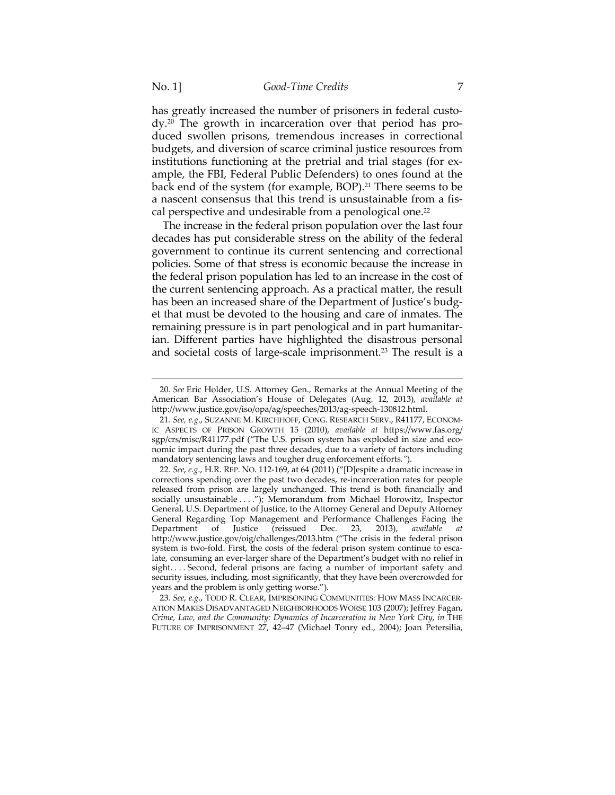has greatly increased the number of prisoners in federal custody.20 The growth in incarceration over that period has produced swollen prisons, tremendous increases in correctional budgets, and diversion of scarce criminal justice resources from institutions functioning at the pretrial and trial stages (for example, the FBI, Federal Public Defenders) to ones found at the back end of the system (for example, BOP).<sup>21</sup> There seems to be a nascent consensus that this trend is unsustainable from a fiscal perspective and undesirable from a penological one.<sup>22</sup>

The increase in the federal prison population over the last four decades has put considerable stress on the ability of the federal government to continue its current sentencing and correctional policies. Some of that stress is economic because the increase in the federal prison population has led to an increase in the cost of the current sentencing approach. As a practical matter, the result has been an increased share of the Department of Justice's budget that must be devoted to the housing and care of inmates. The remaining pressure is in part penological and in part humanitarian. Different parties have highlighted the disastrous personal and societal costs of large-scale imprisonment.23 The result is a

23*. See*, *e.g*., TODD R. CLEAR, IMPRISONING COMMUNITIES: HOW MASS INCARCER-ATION MAKES DISADVANTAGED NEIGHBORHOODS WORSE 103 (2007); Jeffrey Fagan, *Crime, Law, and the Community: Dynamics of Incarceration in New York City*, *in* THE FUTURE OF IMPRISONMENT 27, 42–47 (Michael Tonry ed., 2004); Joan Petersilia,

<sup>20</sup>*. See* Eric Holder, U.S. Attorney Gen., Remarks at the Annual Meeting of the American Bar Association's House of Delegates (Aug. 12, 2013), *available at* http://www.justice.gov/iso/opa/ag/speeches/2013/ag-speech-130812.html.

<sup>21</sup>*. See, e.g*., SUZANNE M. KIRCHHOFF, CONG. RESEARCH SERV., R41177, ECONOM-IC ASPECTS OF PRISON GROWTH 15 (2010), *available at* https://www.fas.org/ sgp/crs/misc/R41177.pdf ("The U.S. prison system has exploded in size and economic impact during the past three decades, due to a variety of factors including mandatory sentencing laws and tougher drug enforcement efforts*."*).

<sup>22</sup>*. See*, *e.g*., H.R. REP. NO. 112-169, at 64 (2011) ("[D]espite a dramatic increase in corrections spending over the past two decades, re-incarceration rates for people released from prison are largely unchanged. This trend is both financially and socially unsustainable . . . ."); Memorandum from Michael Horowitz, Inspector General, U.S. Department of Justice, to the Attorney General and Deputy Attorney General Regarding Top Management and Performance Challenges Facing the Department of Justice (reissued Dec. 23, 2013), available at Department of Justice (reissued Dec. 23, 2013), *available at* http://www.justice.gov/oig/challenges/2013.htm ("The crisis in the federal prison system is two-fold. First, the costs of the federal prison system continue to escalate, consuming an ever-larger share of the Department's budget with no relief in sight....Second, federal prisons are facing a number of important safety and security issues, including, most significantly, that they have been overcrowded for years and the problem is only getting worse.").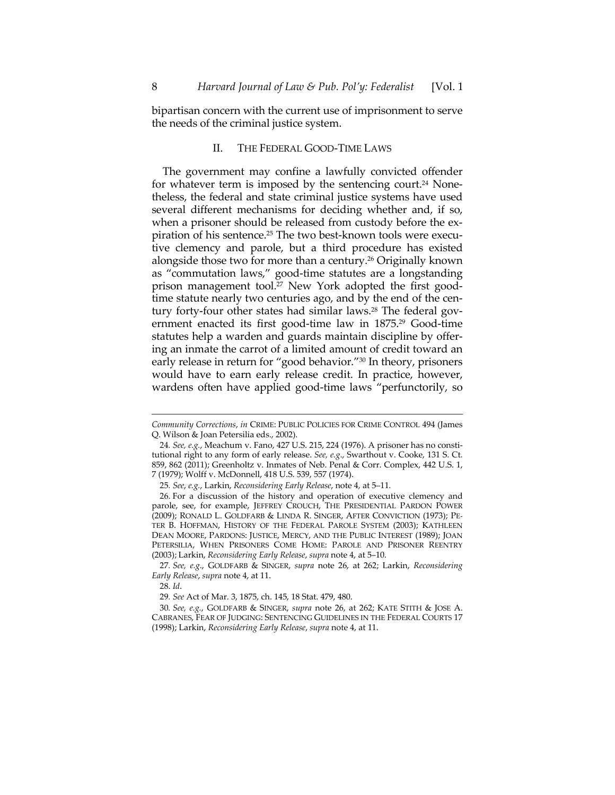bipartisan concern with the current use of imprisonment to serve the needs of the criminal justice system.

## II. THE FEDERAL GOOD-TIME LAWS

The government may confine a lawfully convicted offender for whatever term is imposed by the sentencing court.<sup>24</sup> Nonetheless, the federal and state criminal justice systems have used several different mechanisms for deciding whether and, if so, when a prisoner should be released from custody before the expiration of his sentence.25 The two best-known tools were executive clemency and parole, but a third procedure has existed alongside those two for more than a century.26 Originally known as "commutation laws," good-time statutes are a longstanding prison management tool.<sup>27</sup> New York adopted the first goodtime statute nearly two centuries ago, and by the end of the century forty-four other states had similar laws.<sup>28</sup> The federal government enacted its first good-time law in 1875.<sup>29</sup> Good-time statutes help a warden and guards maintain discipline by offering an inmate the carrot of a limited amount of credit toward an early release in return for "good behavior."30 In theory, prisoners would have to earn early release credit. In practice, however, wardens often have applied good-time laws "perfunctorily, so

28. *Id*.

*Community Corrections*, *in* CRIME: PUBLIC POLICIES FOR CRIME CONTROL 494 (James Q. Wilson & Joan Petersilia eds., 2002).

<sup>24</sup>*. See, e.g.*, Meachum v. Fano, 427 U.S. 215, 224 (1976). A prisoner has no constitutional right to any form of early release. *See, e.g*., Swarthout v. Cooke, 131 S. Ct. 859, 862 (2011); Greenholtz v. Inmates of Neb. Penal & Corr. Complex, 442 U.S. 1, 7 (1979); Wolff v. McDonnell, 418 U.S. 539, 557 (1974).

<sup>25</sup>*. See*, *e.g.*, Larkin, *Reconsidering Early Release*, note 4, at 5–11.

 <sup>26.</sup> For a discussion of the history and operation of executive clemency and parole, see, for example, JEFFREY CROUCH, THE PRESIDENTIAL PARDON POWER (2009); RONALD L. GOLDFARB & LINDA R. SINGER, AFTER CONVICTION (1973); PE-TER B. HOFFMAN, HISTORY OF THE FEDERAL PAROLE SYSTEM (2003); KATHLEEN DEAN MOORE, PARDONS: JUSTICE, MERCY, AND THE PUBLIC INTEREST (1989); JOAN PETERSILIA, WHEN PRISONERS COME HOME: PAROLE AND PRISONER REENTRY (2003); Larkin, *Reconsidering Early Release*, *supra* note 4, at 5–10.

<sup>27</sup>*. See, e.g*., GOLDFARB & SINGER, *supra* note 26, at 262; Larkin, *Reconsidering Early Release*, *supra* note 4, at 11.

<sup>29</sup>*. See* Act of Mar. 3, 1875, ch. 145, 18 Stat. 479, 480.

<sup>30</sup>*. See, e.g.*, GOLDFARB & SINGER, *supra* note 26, at 262; KATE STITH & JOSE A. CABRANES, FEAR OF JUDGING: SENTENCING GUIDELINES IN THE FEDERAL COURTS 17 (1998); Larkin, *Reconsidering Early Release*, *supra* note 4, at 11.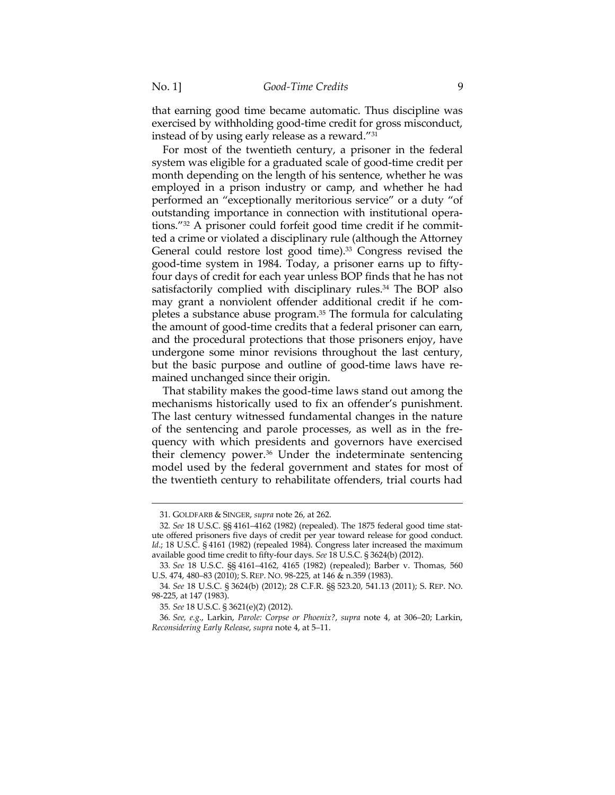that earning good time became automatic. Thus discipline was exercised by withholding good-time credit for gross misconduct, instead of by using early release as a reward."31

For most of the twentieth century, a prisoner in the federal system was eligible for a graduated scale of good-time credit per month depending on the length of his sentence, whether he was employed in a prison industry or camp, and whether he had performed an "exceptionally meritorious service" or a duty "of outstanding importance in connection with institutional operations."32 A prisoner could forfeit good time credit if he committed a crime or violated a disciplinary rule (although the Attorney General could restore lost good time).<sup>33</sup> Congress revised the good-time system in 1984. Today, a prisoner earns up to fiftyfour days of credit for each year unless BOP finds that he has not satisfactorily complied with disciplinary rules.<sup>34</sup> The BOP also may grant a nonviolent offender additional credit if he completes a substance abuse program.35 The formula for calculating the amount of good-time credits that a federal prisoner can earn, and the procedural protections that those prisoners enjoy, have undergone some minor revisions throughout the last century, but the basic purpose and outline of good-time laws have remained unchanged since their origin.

That stability makes the good-time laws stand out among the mechanisms historically used to fix an offender's punishment. The last century witnessed fundamental changes in the nature of the sentencing and parole processes, as well as in the frequency with which presidents and governors have exercised their clemency power.36 Under the indeterminate sentencing model used by the federal government and states for most of the twentieth century to rehabilitate offenders, trial courts had

 <sup>31.</sup> GOLDFARB & SINGER, *supra* note 26, at 262.

<sup>32</sup>*. See* 18 U.S.C. §§ 4161–4162 (1982) (repealed). The 1875 federal good time statute offered prisoners five days of credit per year toward release for good conduct. *Id.*; 18 U.S.C. § 4161 (1982) (repealed 1984). Congress later increased the maximum available good time credit to fifty-four days. *See* 18 U.S.C. § 3624(b) (2012).

<sup>33</sup>*. See* 18 U.S.C. §§ 4161–4162, 4165 (1982) (repealed); Barber v. Thomas, 560 U.S. 474, 480–83 (2010); S. REP. NO. 98-225, at 146 & n.359 (1983).

<sup>34</sup>*. See* 18 U.S.C. § 3624(b) (2012); 28 C.F.R. §§ 523.20, 541.13 (2011); S. REP. NO. 98-225, at 147 (1983).

<sup>35</sup>*. See* 18 U.S.C. § 3621(e)(2) (2012).

<sup>36</sup>*. See, e.g*., Larkin, *Parole: Corpse or Phoenix?*, *supra* note 4, at 306–20; Larkin, *Reconsidering Early Release*, *supra* note 4, at 5–11.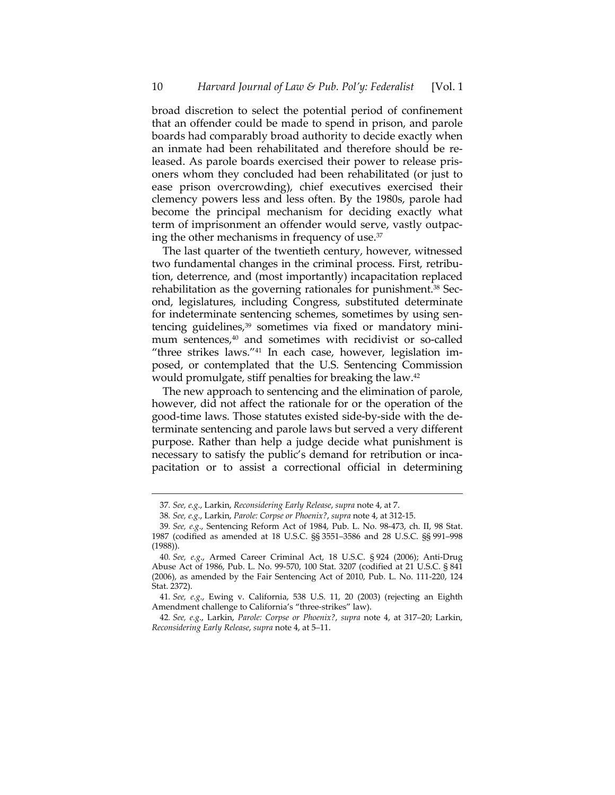broad discretion to select the potential period of confinement that an offender could be made to spend in prison, and parole boards had comparably broad authority to decide exactly when an inmate had been rehabilitated and therefore should be released. As parole boards exercised their power to release prisoners whom they concluded had been rehabilitated (or just to ease prison overcrowding), chief executives exercised their clemency powers less and less often. By the 1980s, parole had become the principal mechanism for deciding exactly what term of imprisonment an offender would serve, vastly outpacing the other mechanisms in frequency of use.37

The last quarter of the twentieth century, however, witnessed two fundamental changes in the criminal process. First, retribution, deterrence, and (most importantly) incapacitation replaced rehabilitation as the governing rationales for punishment.<sup>38</sup> Second, legislatures, including Congress, substituted determinate for indeterminate sentencing schemes, sometimes by using sentencing guidelines,<sup>39</sup> sometimes via fixed or mandatory minimum sentences,<sup>40</sup> and sometimes with recidivist or so-called "three strikes laws."41 In each case, however, legislation imposed, or contemplated that the U.S. Sentencing Commission would promulgate, stiff penalties for breaking the law.42

The new approach to sentencing and the elimination of parole, however, did not affect the rationale for or the operation of the good-time laws. Those statutes existed side-by-side with the determinate sentencing and parole laws but served a very different purpose. Rather than help a judge decide what punishment is necessary to satisfy the public's demand for retribution or incapacitation or to assist a correctional official in determining

<sup>37</sup>*. See, e.g*., Larkin, *Reconsidering Early Release*, *supra* note 4, at 7.

<sup>38</sup>*. See, e.g*., Larkin, *Parole: Corpse or Phoenix?*, *supra* note 4, at 312-15.

<sup>39</sup>*. See, e.g*., Sentencing Reform Act of 1984, Pub. L. No. 98-473, ch. II, 98 Stat. 1987 (codified as amended at 18 U.S.C. §§ 3551–3586 and 28 U.S.C. §§ 991–998 (1988)).

<sup>40</sup>*. See, e.g*., Armed Career Criminal Act, 18 U.S.C. § 924 (2006); Anti-Drug Abuse Act of 1986, Pub. L. No. 99-570, 100 Stat. 3207 (codified at 21 U.S.C. § 841 (2006), as amended by the Fair Sentencing Act of 2010, Pub. L. No. 111-220, 124 Stat. 2372).

<sup>41</sup>*. See, e.g*., Ewing v. California, 538 U.S. 11, 20 (2003) (rejecting an Eighth Amendment challenge to California's "three-strikes" law).

<sup>42</sup>*. See, e.g*., Larkin, *Parole: Corpse or Phoenix?*, *supra* note 4, at 317–20; Larkin, *Reconsidering Early Release*, *supra* note 4, at 5–11.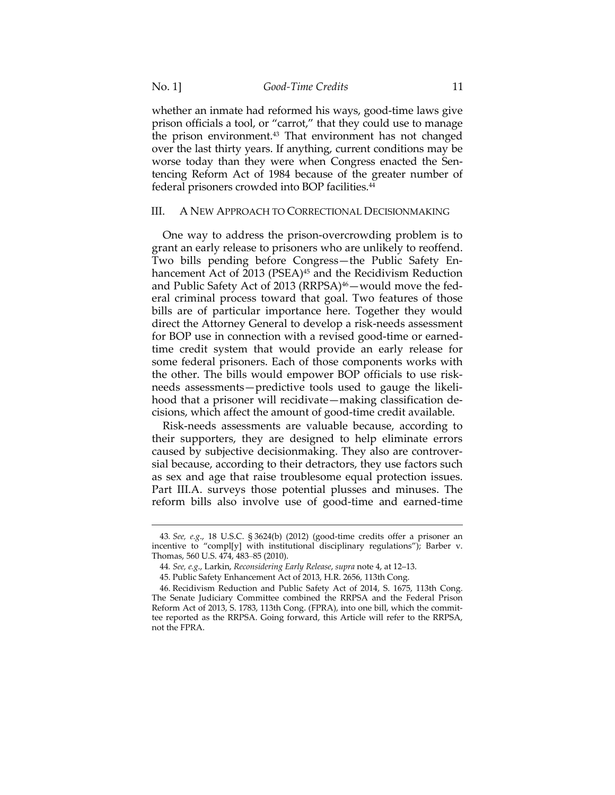$\overline{a}$ 

whether an inmate had reformed his ways, good-time laws give prison officials a tool, or "carrot," that they could use to manage the prison environment.43 That environment has not changed over the last thirty years. If anything, current conditions may be worse today than they were when Congress enacted the Sentencing Reform Act of 1984 because of the greater number of federal prisoners crowded into BOP facilities.44

#### III. A NEW APPROACH TO CORRECTIONAL DECISIONMAKING

One way to address the prison-overcrowding problem is to grant an early release to prisoners who are unlikely to reoffend. Two bills pending before Congress—the Public Safety Enhancement Act of 2013 (PSEA)<sup>45</sup> and the Recidivism Reduction and Public Safety Act of 2013 (RRPSA)<sup>46</sup> - would move the federal criminal process toward that goal. Two features of those bills are of particular importance here. Together they would direct the Attorney General to develop a risk-needs assessment for BOP use in connection with a revised good-time or earnedtime credit system that would provide an early release for some federal prisoners. Each of those components works with the other. The bills would empower BOP officials to use riskneeds assessments—predictive tools used to gauge the likelihood that a prisoner will recidivate—making classification decisions, which affect the amount of good-time credit available.

Risk-needs assessments are valuable because, according to their supporters, they are designed to help eliminate errors caused by subjective decisionmaking. They also are controversial because, according to their detractors, they use factors such as sex and age that raise troublesome equal protection issues. Part III.A. surveys those potential plusses and minuses. The reform bills also involve use of good-time and earned-time

<sup>43</sup>*. See, e.g*., 18 U.S.C. § 3624(b) (2012) (good-time credits offer a prisoner an incentive to "compl[y] with institutional disciplinary regulations"); Barber v. Thomas, 560 U.S. 474, 483–85 (2010).

<sup>44</sup>*. See, e.g*., Larkin, *Reconsidering Early Release*, *supra* note 4, at 12–13.

 <sup>45.</sup> Public Safety Enhancement Act of 2013, H.R. 2656, 113th Cong.

 <sup>46.</sup> Recidivism Reduction and Public Safety Act of 2014, S. 1675, 113th Cong. The Senate Judiciary Committee combined the RRPSA and the Federal Prison Reform Act of 2013, S. 1783, 113th Cong. (FPRA), into one bill, which the committee reported as the RRPSA. Going forward, this Article will refer to the RRPSA, not the FPRA.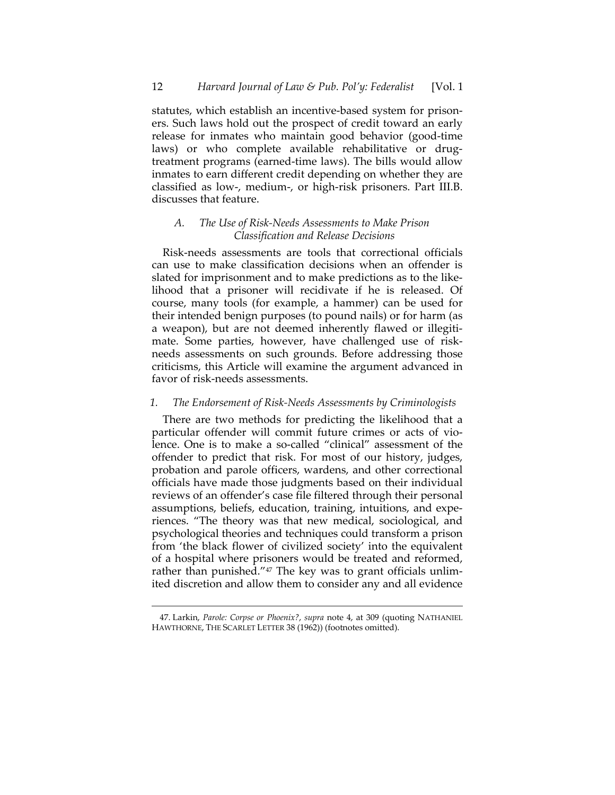statutes, which establish an incentive-based system for prisoners. Such laws hold out the prospect of credit toward an early release for inmates who maintain good behavior (good-time laws) or who complete available rehabilitative or drugtreatment programs (earned-time laws). The bills would allow inmates to earn different credit depending on whether they are classified as low-, medium-, or high-risk prisoners. Part III.B. discusses that feature.

# *A. The Use of Risk-Needs Assessments to Make Prison Classification and Release Decisions*

Risk-needs assessments are tools that correctional officials can use to make classification decisions when an offender is slated for imprisonment and to make predictions as to the likelihood that a prisoner will recidivate if he is released. Of course, many tools (for example, a hammer) can be used for their intended benign purposes (to pound nails) or for harm (as a weapon), but are not deemed inherently flawed or illegitimate. Some parties, however, have challenged use of riskneeds assessments on such grounds. Before addressing those criticisms, this Article will examine the argument advanced in favor of risk-needs assessments.

## *1. The Endorsement of Risk-Needs Assessments by Criminologists*

There are two methods for predicting the likelihood that a particular offender will commit future crimes or acts of violence. One is to make a so-called "clinical" assessment of the offender to predict that risk. For most of our history, judges, probation and parole officers, wardens, and other correctional officials have made those judgments based on their individual reviews of an offender's case file filtered through their personal assumptions, beliefs, education, training, intuitions, and experiences. "The theory was that new medical, sociological, and psychological theories and techniques could transform a prison from 'the black flower of civilized society' into the equivalent of a hospital where prisoners would be treated and reformed, rather than punished."<sup>47</sup> The key was to grant officials unlimited discretion and allow them to consider any and all evidence

 <sup>47.</sup> Larkin, *Parole: Corpse or Phoenix?*, *supra* note 4, at 309 (quoting NATHANIEL HAWTHORNE, THE SCARLET LETTER 38 (1962)) (footnotes omitted).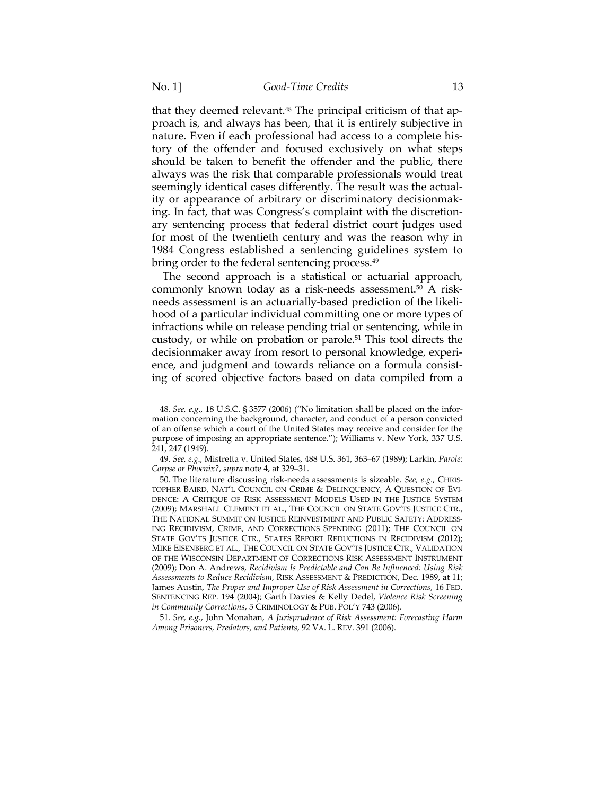that they deemed relevant.<sup>48</sup> The principal criticism of that approach is, and always has been, that it is entirely subjective in nature. Even if each professional had access to a complete history of the offender and focused exclusively on what steps should be taken to benefit the offender and the public, there always was the risk that comparable professionals would treat seemingly identical cases differently. The result was the actuality or appearance of arbitrary or discriminatory decisionmaking. In fact, that was Congress's complaint with the discretionary sentencing process that federal district court judges used for most of the twentieth century and was the reason why in 1984 Congress established a sentencing guidelines system to bring order to the federal sentencing process.49

The second approach is a statistical or actuarial approach, commonly known today as a risk-needs assessment.<sup>50</sup> A riskneeds assessment is an actuarially-based prediction of the likelihood of a particular individual committing one or more types of infractions while on release pending trial or sentencing, while in custody, or while on probation or parole.51 This tool directs the decisionmaker away from resort to personal knowledge, experience, and judgment and towards reliance on a formula consisting of scored objective factors based on data compiled from a

<sup>48</sup>*. See, e.g*., 18 U.S.C. § 3577 (2006) ("No limitation shall be placed on the information concerning the background, character, and conduct of a person convicted of an offense which a court of the United States may receive and consider for the purpose of imposing an appropriate sentence."); Williams v. New York, 337 U.S. 241, 247 (1949).

<sup>49</sup>*. See, e.g*., Mistretta v. United States, 488 U.S. 361, 363–67 (1989); Larkin, *Parole: Corpse or Phoenix?*, *supra* note 4, at 329–31.

 <sup>50.</sup> The literature discussing risk-needs assessments is sizeable. *See, e.g*., CHRIS-TOPHER BAIRD, NAT'L COUNCIL ON CRIME & DELINQUENCY, A QUESTION OF EVI-DENCE: A CRITIQUE OF RISK ASSESSMENT MODELS USED IN THE JUSTICE SYSTEM (2009); MARSHALL CLEMENT ET AL., THE COUNCIL ON STATE GOV'TS JUSTICE CTR., THE NATIONAL SUMMIT ON JUSTICE REINVESTMENT AND PUBLIC SAFETY: ADDRESS-ING RECIDIVISM, CRIME, AND CORRECTIONS SPENDING (2011); THE COUNCIL ON STATE GOV'TS JUSTICE CTR., STATES REPORT REDUCTIONS IN RECIDIVISM (2012); MIKE EISENBERG ET AL., THE COUNCIL ON STATE GOV'TS JUSTICE CTR., VALIDATION OF THE WISCONSIN DEPARTMENT OF CORRECTIONS RISK ASSESSMENT INSTRUMENT (2009); Don A. Andrews, *Recidivism Is Predictable and Can Be Influenced: Using Risk Assessments to Reduce Recidivism*, RISK ASSESSMENT & PREDICTION, Dec. 1989, at 11; James Austin, *The Proper and Improper Use of Risk Assessment in Corrections*, 16 FED. SENTENCING REP. 194 (2004); Garth Davies & Kelly Dedel, *Violence Risk Screening in Community Corrections*, 5 CRIMINOLOGY & PUB. POL'Y 743 (2006).

<sup>51</sup>*. See, e.g.*, John Monahan, *A Jurisprudence of Risk Assessment: Forecasting Harm Among Prisoners, Predators, and Patients*, 92 VA. L. REV. 391 (2006).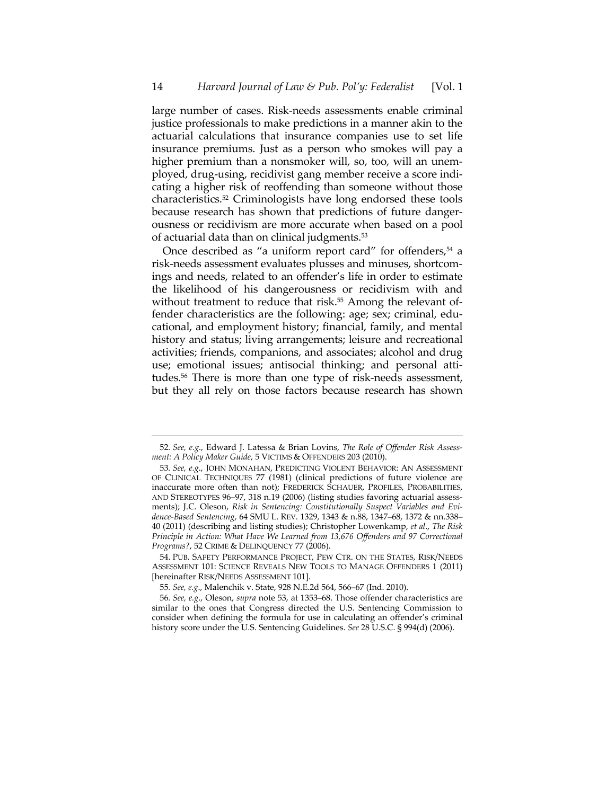large number of cases. Risk-needs assessments enable criminal justice professionals to make predictions in a manner akin to the actuarial calculations that insurance companies use to set life insurance premiums. Just as a person who smokes will pay a higher premium than a nonsmoker will, so, too, will an unemployed, drug-using, recidivist gang member receive a score indicating a higher risk of reoffending than someone without those characteristics.52 Criminologists have long endorsed these tools because research has shown that predictions of future dangerousness or recidivism are more accurate when based on a pool of actuarial data than on clinical judgments.53

Once described as "a uniform report card" for offenders, $54$  a risk-needs assessment evaluates plusses and minuses, shortcomings and needs, related to an offender's life in order to estimate the likelihood of his dangerousness or recidivism with and without treatment to reduce that risk.<sup>55</sup> Among the relevant offender characteristics are the following: age; sex; criminal, educational, and employment history; financial, family, and mental history and status; living arrangements; leisure and recreational activities; friends, companions, and associates; alcohol and drug use; emotional issues; antisocial thinking; and personal attitudes.56 There is more than one type of risk-needs assessment, but they all rely on those factors because research has shown

 $\overline{a}$ 

 54. PUB. SAFETY PERFORMANCE PROJECT, PEW CTR. ON THE STATES, RISK/NEEDS ASSESSMENT 101: SCIENCE REVEALS NEW TOOLS TO MANAGE OFFENDERS 1 (2011) [hereinafter RISK/NEEDS ASSESSMENT 101].

<sup>52</sup>*. See, e.g*., Edward J. Latessa & Brian Lovins, *The Role of Offender Risk Assessment: A Policy Maker Guide*, 5 VICTIMS & OFFENDERS 203 (2010).

<sup>53</sup>*. See, e.g*., JOHN MONAHAN, PREDICTING VIOLENT BEHAVIOR: AN ASSESSMENT OF CLINICAL TECHNIQUES 77 (1981) (clinical predictions of future violence are inaccurate more often than not); FREDERICK SCHAUER, PROFILES, PROBABILITIES, AND STEREOTYPES 96–97, 318 n.19 (2006) (listing studies favoring actuarial assessments); J.C. Oleson, *Risk in Sentencing: Constitutionally Suspect Variables and Evidence-Based Sentencing*, 64 SMU L. REV. 1329, 1343 & n.88, 1347–68, 1372 & nn.338– 40 (2011) (describing and listing studies); Christopher Lowenkamp, *et al*., *The Risk Principle in Action: What Have We Learned from 13,676 Offenders and 97 Correctional Programs?*, 52 CRIME & DELINQUENCY 77 (2006).

<sup>55</sup>*. See, e.g*., Malenchik v. State, 928 N.E.2d 564, 566–67 (Ind. 2010).

<sup>56</sup>*. See, e.g*., Oleson, *supra* note 53, at 1353–68. Those offender characteristics are similar to the ones that Congress directed the U.S. Sentencing Commission to consider when defining the formula for use in calculating an offender's criminal history score under the U.S. Sentencing Guidelines. *See* 28 U.S.C. § 994(d) (2006).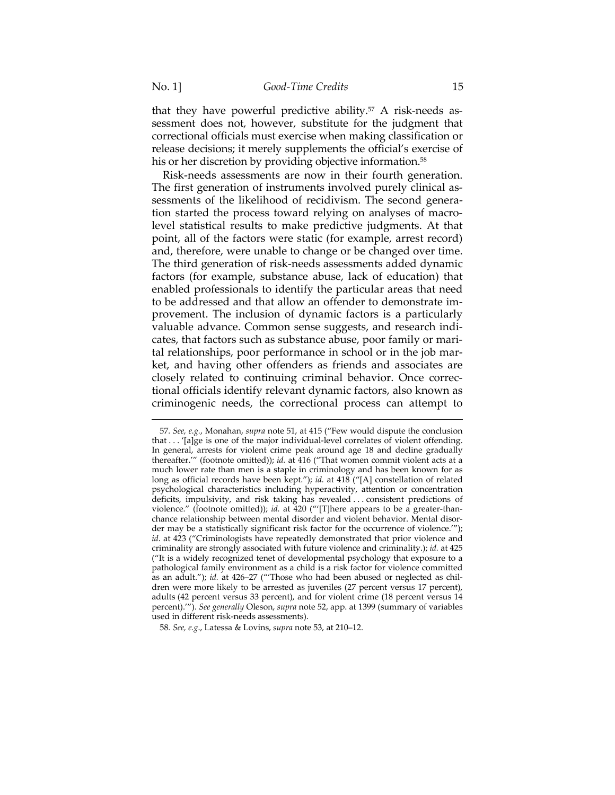$\overline{a}$ 

that they have powerful predictive ability. $57$  A risk-needs assessment does not, however, substitute for the judgment that correctional officials must exercise when making classification or release decisions; it merely supplements the official's exercise of his or her discretion by providing objective information.<sup>58</sup>

Risk-needs assessments are now in their fourth generation. The first generation of instruments involved purely clinical assessments of the likelihood of recidivism. The second generation started the process toward relying on analyses of macrolevel statistical results to make predictive judgments. At that point, all of the factors were static (for example, arrest record) and, therefore, were unable to change or be changed over time. The third generation of risk-needs assessments added dynamic factors (for example, substance abuse, lack of education) that enabled professionals to identify the particular areas that need to be addressed and that allow an offender to demonstrate improvement. The inclusion of dynamic factors is a particularly valuable advance. Common sense suggests, and research indicates, that factors such as substance abuse, poor family or marital relationships, poor performance in school or in the job market, and having other offenders as friends and associates are closely related to continuing criminal behavior. Once correctional officials identify relevant dynamic factors, also known as criminogenic needs, the correctional process can attempt to

<sup>57</sup>*. See, e.g.*, Monahan, *supra* note 51, at 415 ("Few would dispute the conclusion that . . . '[a]ge is one of the major individual-level correlates of violent offending. In general, arrests for violent crime peak around age 18 and decline gradually thereafter.'" (footnote omitted)); *id.* at 416 ("That women commit violent acts at a much lower rate than men is a staple in criminology and has been known for as long as official records have been kept."); *id.* at 418 ("[A] constellation of related psychological characteristics including hyperactivity, attention or concentration deficits, impulsivity, and risk taking has revealed . . . consistent predictions of violence." (footnote omitted)); *id.* at 420 ("'[T]here appears to be a greater-thanchance relationship between mental disorder and violent behavior. Mental disorder may be a statistically significant risk factor for the occurrence of violence.'"); *id*. at 423 ("Criminologists have repeatedly demonstrated that prior violence and criminality are strongly associated with future violence and criminality.); *id.* at 425 ("It is a widely recognized tenet of developmental psychology that exposure to a pathological family environment as a child is a risk factor for violence committed as an adult."); *id.* at 426–27 ("'Those who had been abused or neglected as children were more likely to be arrested as juveniles (27 percent versus 17 percent), adults (42 percent versus 33 percent), and for violent crime (18 percent versus 14 percent).'"). *See generally* Oleson, *supra* note 52, app. at 1399 (summary of variables used in different risk-needs assessments).

<sup>58</sup>*. See, e.g*., Latessa & Lovins, *supra* note 53, at 210–12.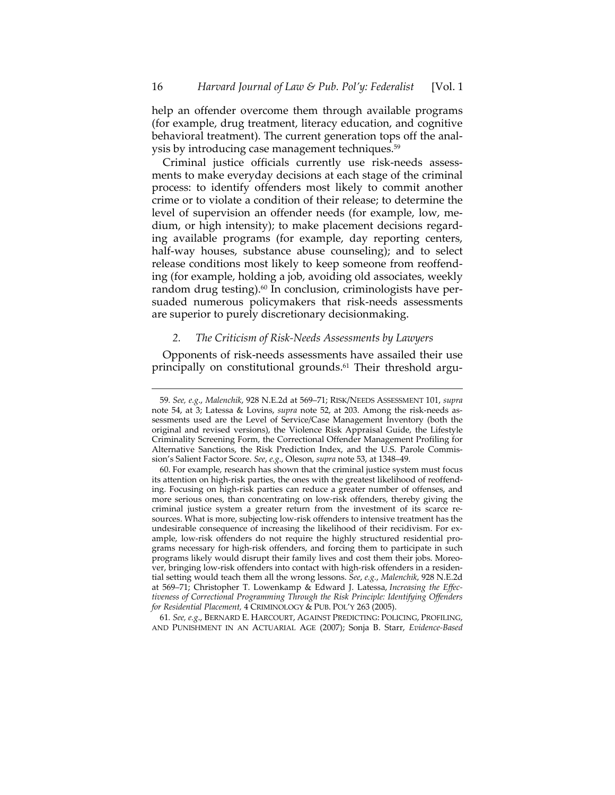help an offender overcome them through available programs (for example, drug treatment, literacy education, and cognitive behavioral treatment). The current generation tops off the analysis by introducing case management techniques.59

Criminal justice officials currently use risk-needs assessments to make everyday decisions at each stage of the criminal process: to identify offenders most likely to commit another crime or to violate a condition of their release; to determine the level of supervision an offender needs (for example, low, medium, or high intensity); to make placement decisions regarding available programs (for example, day reporting centers, half-way houses, substance abuse counseling); and to select release conditions most likely to keep someone from reoffending (for example, holding a job, avoiding old associates, weekly random drug testing).<sup>60</sup> In conclusion, criminologists have persuaded numerous policymakers that risk-needs assessments are superior to purely discretionary decisionmaking.

#### *2. The Criticism of Risk-Needs Assessments by Lawyers*

 $\overline{a}$ 

Opponents of risk-needs assessments have assailed their use principally on constitutional grounds.61 Their threshold argu-

61*. See, e.g*., BERNARD E. HARCOURT, AGAINST PREDICTING: POLICING, PROFILING, AND PUNISHMENT IN AN ACTUARIAL AGE (2007); Sonja B. Starr, *Evidence-Based* 

<sup>59</sup>*. See, e.g*., *Malenchik*, 928 N.E.2d at 569–71; RISK/NEEDS ASSESSMENT 101, *supra* note 54, at 3; Latessa & Lovins, *supra* note 52, at 203. Among the risk-needs assessments used are the Level of Service/Case Management Inventory (both the original and revised versions), the Violence Risk Appraisal Guide, the Lifestyle Criminality Screening Form, the Correctional Offender Management Profiling for Alternative Sanctions, the Risk Prediction Index, and the U.S. Parole Commission's Salient Factor Score. *See*, *e.g*., Oleson, *supra* note 53, at 1348–49.

 <sup>60.</sup> For example, research has shown that the criminal justice system must focus its attention on high-risk parties, the ones with the greatest likelihood of reoffending. Focusing on high-risk parties can reduce a greater number of offenses, and more serious ones, than concentrating on low-risk offenders, thereby giving the criminal justice system a greater return from the investment of its scarce resources. What is more, subjecting low-risk offenders to intensive treatment has the undesirable consequence of increasing the likelihood of their recidivism. For example, low-risk offenders do not require the highly structured residential programs necessary for high-risk offenders, and forcing them to participate in such programs likely would disrupt their family lives and cost them their jobs. Moreover, bringing low-risk offenders into contact with high-risk offenders in a residential setting would teach them all the wrong lessons. *See*, *e.g.*, *Malenchik*, 928 N.E.2d at 569–71; Christopher T. Lowenkamp & Edward J. Latessa, *Increasing the Effectiveness of Correctional Programming Through the Risk Principle: Identifying Offenders for Residential Placement,* 4 CRIMINOLOGY & PUB. POL'Y 263 (2005).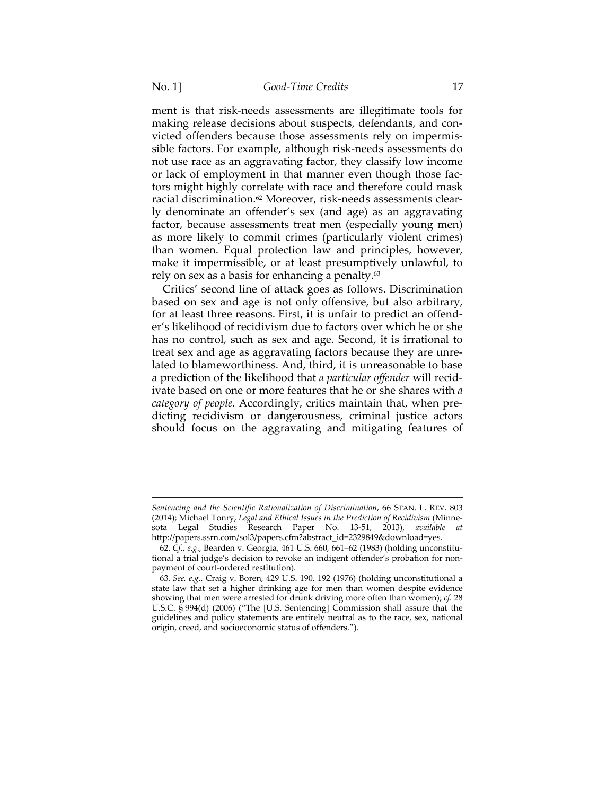ment is that risk-needs assessments are illegitimate tools for making release decisions about suspects, defendants, and convicted offenders because those assessments rely on impermissible factors. For example, although risk-needs assessments do not use race as an aggravating factor, they classify low income or lack of employment in that manner even though those factors might highly correlate with race and therefore could mask racial discrimination.62 Moreover, risk-needs assessments clearly denominate an offender's sex (and age) as an aggravating factor, because assessments treat men (especially young men) as more likely to commit crimes (particularly violent crimes) than women. Equal protection law and principles, however, make it impermissible, or at least presumptively unlawful, to rely on sex as a basis for enhancing a penalty.<sup>63</sup>

Critics' second line of attack goes as follows. Discrimination based on sex and age is not only offensive, but also arbitrary, for at least three reasons. First, it is unfair to predict an offender's likelihood of recidivism due to factors over which he or she has no control, such as sex and age. Second, it is irrational to treat sex and age as aggravating factors because they are unrelated to blameworthiness. And, third, it is unreasonable to base a prediction of the likelihood that *a particular offender* will recidivate based on one or more features that he or she shares with *a category of people*. Accordingly, critics maintain that, when predicting recidivism or dangerousness, criminal justice actors should focus on the aggravating and mitigating features of

*Sentencing and the Scientific Rationalization of Discrimination*, 66 STAN. L. REV. 803 (2014); Michael Tonry, *Legal and Ethical Issues in the Prediction of Recidivism* (Minnesota Legal Studies Research Paper No. 13-51, 2013), *available at* http://papers.ssrn.com/sol3/papers.cfm?abstract\_id=2329849&download=yes.

<sup>62</sup>*. Cf., e.g*., Bearden v. Georgia, 461 U.S. 660, 661–62 (1983) (holding unconstitutional a trial judge's decision to revoke an indigent offender's probation for nonpayment of court-ordered restitution).

<sup>63</sup>*. See, e.g.*, Craig v. Boren, 429 U.S. 190, 192 (1976) (holding unconstitutional a state law that set a higher drinking age for men than women despite evidence showing that men were arrested for drunk driving more often than women); *cf.* 28 U.S.C. § 994(d) (2006) ("The [U.S. Sentencing] Commission shall assure that the guidelines and policy statements are entirely neutral as to the race, sex, national origin, creed, and socioeconomic status of offenders.").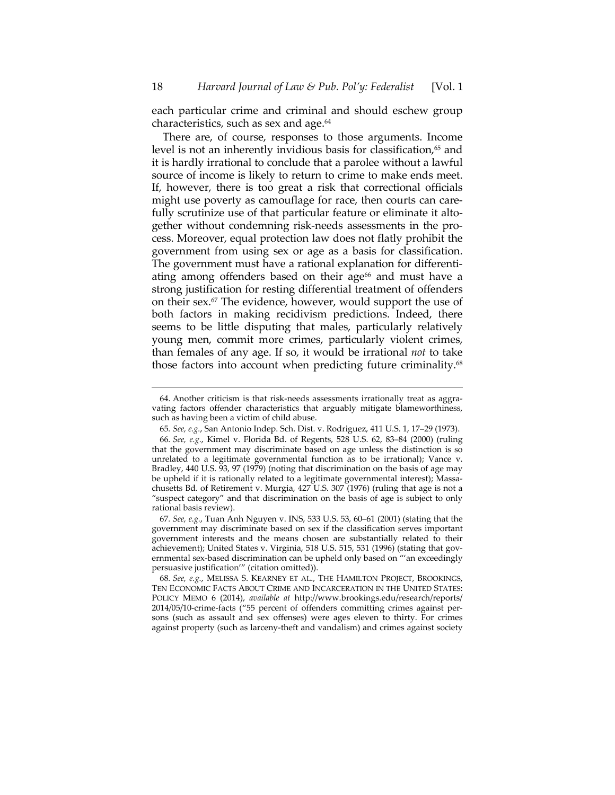each particular crime and criminal and should eschew group characteristics, such as sex and age.64

There are, of course, responses to those arguments. Income level is not an inherently invidious basis for classification, $65$  and it is hardly irrational to conclude that a parolee without a lawful source of income is likely to return to crime to make ends meet. If, however, there is too great a risk that correctional officials might use poverty as camouflage for race, then courts can carefully scrutinize use of that particular feature or eliminate it altogether without condemning risk-needs assessments in the process. Moreover, equal protection law does not flatly prohibit the government from using sex or age as a basis for classification. The government must have a rational explanation for differentiating among offenders based on their age<sup>66</sup> and must have a strong justification for resting differential treatment of offenders on their sex.67 The evidence, however, would support the use of both factors in making recidivism predictions. Indeed, there seems to be little disputing that males, particularly relatively young men, commit more crimes, particularly violent crimes, than females of any age. If so, it would be irrational *not* to take those factors into account when predicting future criminality.<sup>68</sup>

 <sup>64.</sup> Another criticism is that risk-needs assessments irrationally treat as aggravating factors offender characteristics that arguably mitigate blameworthiness, such as having been a victim of child abuse.

<sup>65</sup>*. See, e.g.*, San Antonio Indep. Sch. Dist. v. Rodriguez, 411 U.S. 1, 17–29 (1973).

<sup>66</sup>*. See, e.g.*, Kimel v. Florida Bd. of Regents, 528 U.S. 62, 83–84 (2000) (ruling that the government may discriminate based on age unless the distinction is so unrelated to a legitimate governmental function as to be irrational); Vance v. Bradley, 440 U.S. 93, 97 (1979) (noting that discrimination on the basis of age may be upheld if it is rationally related to a legitimate governmental interest); Massachusetts Bd. of Retirement v. Murgia, 427 U.S. 307 (1976) (ruling that age is not a "suspect category" and that discrimination on the basis of age is subject to only rational basis review).

<sup>67</sup>*. See, e.g.*, Tuan Anh Nguyen v. INS, 533 U.S. 53, 60–61 (2001) (stating that the government may discriminate based on sex if the classification serves important government interests and the means chosen are substantially related to their achievement); United States v. Virginia, 518 U.S. 515, 531 (1996) (stating that governmental sex-based discrimination can be upheld only based on "'an exceedingly persuasive justification'" (citation omitted)).

<sup>68</sup>*. See, e.g.*, MELISSA S. KEARNEY ET AL., THE HAMILTON PROJECT, BROOKINGS, TEN ECONOMIC FACTS ABOUT CRIME AND INCARCERATION IN THE UNITED STATES: POLICY MEMO 6 (2014), *available at* http://www.brookings.edu/research/reports/ 2014/05/10-crime-facts ("55 percent of offenders committing crimes against persons (such as assault and sex offenses) were ages eleven to thirty. For crimes against property (such as larceny-theft and vandalism) and crimes against society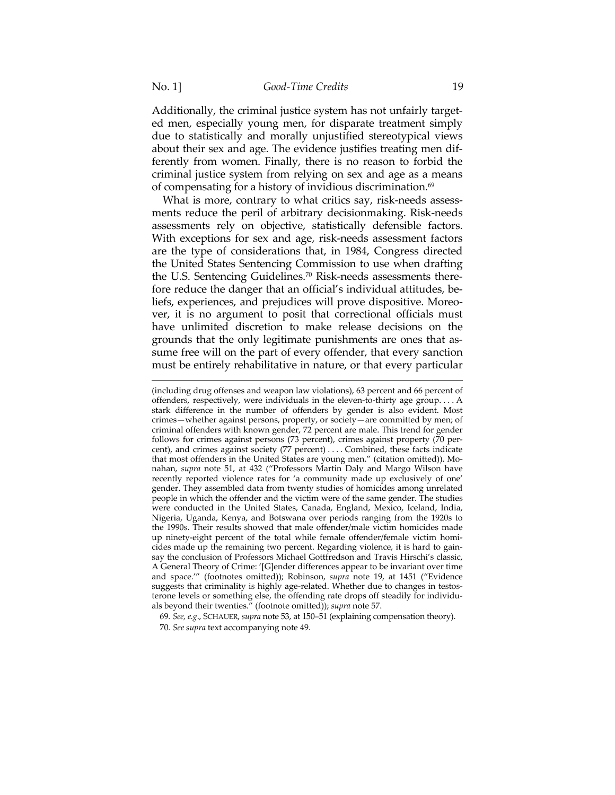Additionally, the criminal justice system has not unfairly targeted men, especially young men, for disparate treatment simply due to statistically and morally unjustified stereotypical views about their sex and age. The evidence justifies treating men differently from women. Finally, there is no reason to forbid the criminal justice system from relying on sex and age as a means of compensating for a history of invidious discrimination.69

What is more, contrary to what critics say, risk-needs assessments reduce the peril of arbitrary decisionmaking. Risk-needs assessments rely on objective, statistically defensible factors. With exceptions for sex and age, risk-needs assessment factors are the type of considerations that, in 1984, Congress directed the United States Sentencing Commission to use when drafting the U.S. Sentencing Guidelines.70 Risk-needs assessments therefore reduce the danger that an official's individual attitudes, beliefs, experiences, and prejudices will prove dispositive. Moreover, it is no argument to posit that correctional officials must have unlimited discretion to make release decisions on the grounds that the only legitimate punishments are ones that assume free will on the part of every offender, that every sanction must be entirely rehabilitative in nature, or that every particular

<sup>(</sup>including drug offenses and weapon law violations), 63 percent and 66 percent of offenders, respectively, were individuals in the eleven-to-thirty age group. . . . A stark difference in the number of offenders by gender is also evident. Most crimes—whether against persons, property, or society—are committed by men; of criminal offenders with known gender, 72 percent are male. This trend for gender follows for crimes against persons (73 percent), crimes against property (70 percent), and crimes against society (77 percent) . . . . Combined, these facts indicate that most offenders in the United States are young men." (citation omitted)). Monahan, *supra* note 51, at 432 ("Professors Martin Daly and Margo Wilson have recently reported violence rates for 'a community made up exclusively of one' gender. They assembled data from twenty studies of homicides among unrelated people in which the offender and the victim were of the same gender. The studies were conducted in the United States, Canada, England, Mexico, Iceland, India, Nigeria, Uganda, Kenya, and Botswana over periods ranging from the 1920s to the 1990s. Their results showed that male offender/male victim homicides made up ninety-eight percent of the total while female offender/female victim homicides made up the remaining two percent. Regarding violence, it is hard to gainsay the conclusion of Professors Michael Gottfredson and Travis Hirschi's classic, A General Theory of Crime: '[G]ender differences appear to be invariant over time and space.'" (footnotes omitted)); Robinson, *supra* note 19, at 1451 ("Evidence suggests that criminality is highly age-related. Whether due to changes in testosterone levels or something else, the offending rate drops off steadily for individuals beyond their twenties." (footnote omitted)); *supra* note 57.

<sup>69</sup>*. See, e.g*., SCHAUER, *supra* note 53, at 150–51 (explaining compensation theory). 70*. See supra* text accompanying note 49.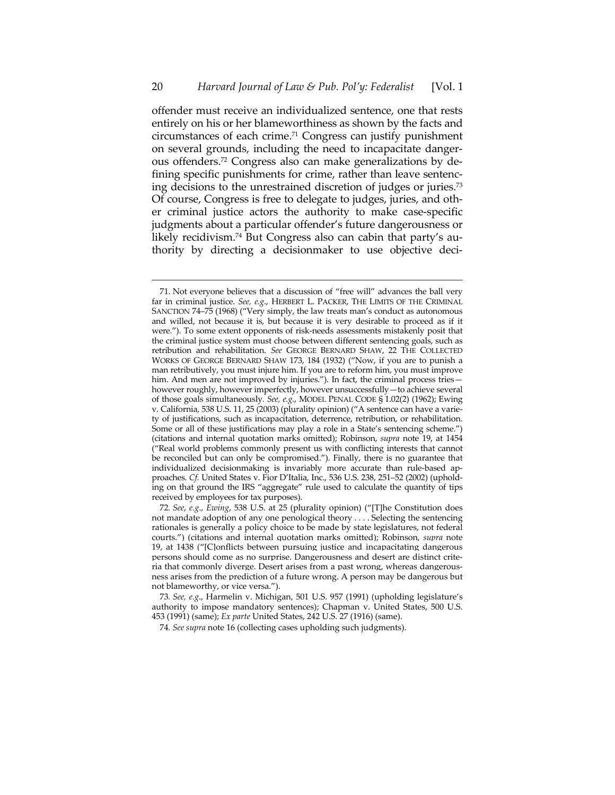offender must receive an individualized sentence, one that rests entirely on his or her blameworthiness as shown by the facts and circumstances of each crime.71 Congress can justify punishment on several grounds, including the need to incapacitate dangerous offenders.72 Congress also can make generalizations by defining specific punishments for crime, rather than leave sentencing decisions to the unrestrained discretion of judges or juries.73 Of course, Congress is free to delegate to judges, juries, and other criminal justice actors the authority to make case-specific judgments about a particular offender's future dangerousness or likely recidivism.74 But Congress also can cabin that party's authority by directing a decisionmaker to use objective deci-

 <sup>71.</sup> Not everyone believes that a discussion of "free will" advances the ball very far in criminal justice. *See, e.g*., HERBERT L. PACKER, THE LIMITS OF THE CRIMINAL SANCTION 74–75 (1968) ("Very simply, the law treats man's conduct as autonomous and willed, not because it is, but because it is very desirable to proceed as if it were."). To some extent opponents of risk-needs assessments mistakenly posit that the criminal justice system must choose between different sentencing goals, such as retribution and rehabilitation. *See* GEORGE BERNARD SHAW, 22 THE COLLECTED WORKS OF GEORGE BERNARD SHAW 173, 184 (1932) ("Now, if you are to punish a man retributively, you must injure him. If you are to reform him, you must improve him. And men are not improved by injuries."). In fact, the criminal process tries however roughly, however imperfectly, however unsuccessfully—to achieve several of those goals simultaneously*. See, e.g.*, MODEL PENAL CODE § 1.02(2) (1962); Ewing v. California, 538 U.S. 11, 25 (2003) (plurality opinion) ("A sentence can have a variety of justifications, such as incapacitation, deterrence, retribution, or rehabilitation. Some or all of these justifications may play a role in a State's sentencing scheme.") (citations and internal quotation marks omitted); Robinson, *supra* note 19, at 1454 ("Real world problems commonly present us with conflicting interests that cannot be reconciled but can only be compromised."). Finally, there is no guarantee that individualized decisionmaking is invariably more accurate than rule-based approaches. *Cf.* United States v. Fior D'Italia, Inc., 536 U.S. 238, 251–52 (2002) (upholding on that ground the IRS "aggregate" rule used to calculate the quantity of tips received by employees for tax purposes).

<sup>72</sup>*. See*, *e.g*., *Ewing*, 538 U.S. at 25 (plurality opinion) ("[T]he Constitution does not mandate adoption of any one penological theory . . . . Selecting the sentencing rationales is generally a policy choice to be made by state legislatures, not federal courts.") (citations and internal quotation marks omitted); Robinson, *supra* note 19, at 1438 ("[C]onflicts between pursuing justice and incapacitating dangerous persons should come as no surprise. Dangerousness and desert are distinct criteria that commonly diverge. Desert arises from a past wrong, whereas dangerousness arises from the prediction of a future wrong. A person may be dangerous but not blameworthy, or vice versa.").

<sup>73</sup>*. See, e.g*., Harmelin v. Michigan, 501 U.S. 957 (1991) (upholding legislature's authority to impose mandatory sentences); Chapman v. United States, 500 U.S. 453 (1991) (same); *Ex parte* United States, 242 U.S. 27 (1916) (same).

<sup>74</sup>*. See supra* note 16 (collecting cases upholding such judgments).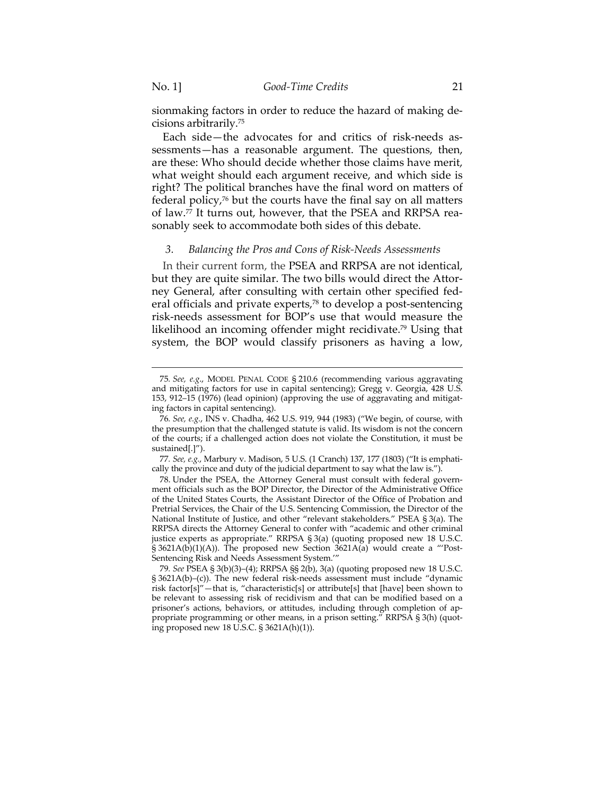$\overline{a}$ 

sionmaking factors in order to reduce the hazard of making decisions arbitrarily.75

Each side—the advocates for and critics of risk-needs assessments—has a reasonable argument. The questions, then, are these: Who should decide whether those claims have merit, what weight should each argument receive, and which side is right? The political branches have the final word on matters of federal policy,76 but the courts have the final say on all matters of law.77 It turns out, however, that the PSEA and RRPSA reasonably seek to accommodate both sides of this debate.

### *3. Balancing the Pros and Cons of Risk-Needs Assessments*

In their current form, the PSEA and RRPSA are not identical, but they are quite similar. The two bills would direct the Attorney General, after consulting with certain other specified federal officials and private experts,78 to develop a post-sentencing risk-needs assessment for BOP's use that would measure the likelihood an incoming offender might recidivate.79 Using that system, the BOP would classify prisoners as having a low,

<sup>75</sup>*. See, e.g*., MODEL PENAL CODE § 210.6 (recommending various aggravating and mitigating factors for use in capital sentencing); Gregg v. Georgia, 428 U.S. 153, 912–15 (1976) (lead opinion) (approving the use of aggravating and mitigating factors in capital sentencing).

<sup>76</sup>*. See, e.g.*, INS v. Chadha, 462 U.S. 919, 944 (1983) ("We begin, of course, with the presumption that the challenged statute is valid. Its wisdom is not the concern of the courts; if a challenged action does not violate the Constitution, it must be sustained[.]").

<sup>77</sup>*. See, e.g.*, Marbury v. Madison, 5 U.S. (1 Cranch) 137, 177 (1803) ("It is emphatically the province and duty of the judicial department to say what the law is.").

 <sup>78.</sup> Under the PSEA, the Attorney General must consult with federal government officials such as the BOP Director, the Director of the Administrative Office of the United States Courts, the Assistant Director of the Office of Probation and Pretrial Services, the Chair of the U.S. Sentencing Commission, the Director of the National Institute of Justice, and other "relevant stakeholders." PSEA § 3(a). The RRPSA directs the Attorney General to confer with "academic and other criminal justice experts as appropriate." RRPSA § 3(a) (quoting proposed new 18 U.S.C. § 3621A(b)(1)(A)). The proposed new Section 3621A(a) would create a "'Post-Sentencing Risk and Needs Assessment System.'"

<sup>79</sup>*. See* PSEA § 3(b)(3)–(4); RRPSA §§ 2(b), 3(a) (quoting proposed new 18 U.S.C. § 3621A(b)–(c)). The new federal risk-needs assessment must include "dynamic risk factor[s]"—that is, "characteristic[s] or attribute[s] that [have] been shown to be relevant to assessing risk of recidivism and that can be modified based on a prisoner's actions, behaviors, or attitudes, including through completion of appropriate programming or other means, in a prison setting." RRPSA § 3(h) (quoting proposed new 18 U.S.C. § 3621A(h)(1)).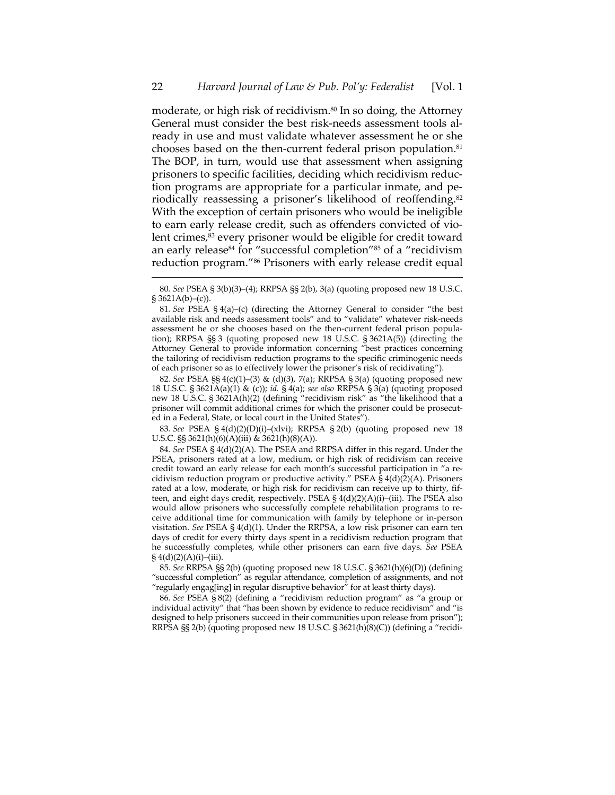moderate, or high risk of recidivism.<sup>80</sup> In so doing, the Attorney General must consider the best risk-needs assessment tools already in use and must validate whatever assessment he or she chooses based on the then-current federal prison population.<sup>81</sup> The BOP, in turn, would use that assessment when assigning prisoners to specific facilities, deciding which recidivism reduction programs are appropriate for a particular inmate, and periodically reassessing a prisoner's likelihood of reoffending.<sup>82</sup> With the exception of certain prisoners who would be ineligible to earn early release credit, such as offenders convicted of violent crimes,<sup>83</sup> every prisoner would be eligible for credit toward an early release<sup>84</sup> for "successful completion"<sup>85</sup> of a "recidivism reduction program."86 Prisoners with early release credit equal

 $\overline{a}$ 

82*. See* PSEA §§ 4(c)(1)–(3) & (d)(3), 7(a); RRPSA § 3(a) (quoting proposed new 18 U.S.C. § 3621A(a)(1) & (c)); *id.* § 4(a); *see also* RRPSA § 3(a) (quoting proposed new 18 U.S.C. § 3621A(h)(2) (defining "recidivism risk" as "the likelihood that a prisoner will commit additional crimes for which the prisoner could be prosecuted in a Federal, State, or local court in the United States").

83*. See* PSEA § 4(d)(2)(D)(i)–(xlvi); RRPSA § 2(b) (quoting proposed new 18 U.S.C. §§ 3621(h)(6)(A)(iii) & 3621(h)(8)(A)).

84*. See* PSEA § 4(d)(2)(A). The PSEA and RRPSA differ in this regard. Under the PSEA, prisoners rated at a low, medium, or high risk of recidivism can receive credit toward an early release for each month's successful participation in "a recidivism reduction program or productive activity." PSEA § 4(d)(2)(A). Prisoners rated at a low, moderate, or high risk for recidivism can receive up to thirty, fifteen, and eight days credit, respectively. PSEA § 4(d)(2)(A)(i)–(iii). The PSEA also would allow prisoners who successfully complete rehabilitation programs to receive additional time for communication with family by telephone or in-person visitation. *See* PSEA § 4(d)(1). Under the RRPSA, a low risk prisoner can earn ten days of credit for every thirty days spent in a recidivism reduction program that he successfully completes, while other prisoners can earn five days. *See* PSEA  $§ 4(d)(2)(A)(i)–(iii).$ 

85*. See* RRPSA §§ 2(b) (quoting proposed new 18 U.S.C. § 3621(h)(6)(D)) (defining "successful completion" as regular attendance, completion of assignments, and not "regularly engag[ing] in regular disruptive behavior" for at least thirty days).

86*. See* PSEA § 8(2) (defining a "recidivism reduction program" as "a group or individual activity" that "has been shown by evidence to reduce recidivism" and "is designed to help prisoners succeed in their communities upon release from prison"); RRPSA §§ 2(b) (quoting proposed new 18 U.S.C. § 3621(h)(8)(C)) (defining a "recidi-

<sup>80</sup>*. See* PSEA § 3(b)(3)–(4); RRPSA §§ 2(b), 3(a) (quoting proposed new 18 U.S.C. § 3621A(b)–(c)).

<sup>81</sup>*. See* PSEA § 4(a)–(c) (directing the Attorney General to consider "the best available risk and needs assessment tools" and to "validate" whatever risk-needs assessment he or she chooses based on the then-current federal prison population); RRPSA §§ 3 (quoting proposed new 18 U.S.C. § 3621A(5)) (directing the Attorney General to provide information concerning "best practices concerning the tailoring of recidivism reduction programs to the specific criminogenic needs of each prisoner so as to effectively lower the prisoner's risk of recidivating").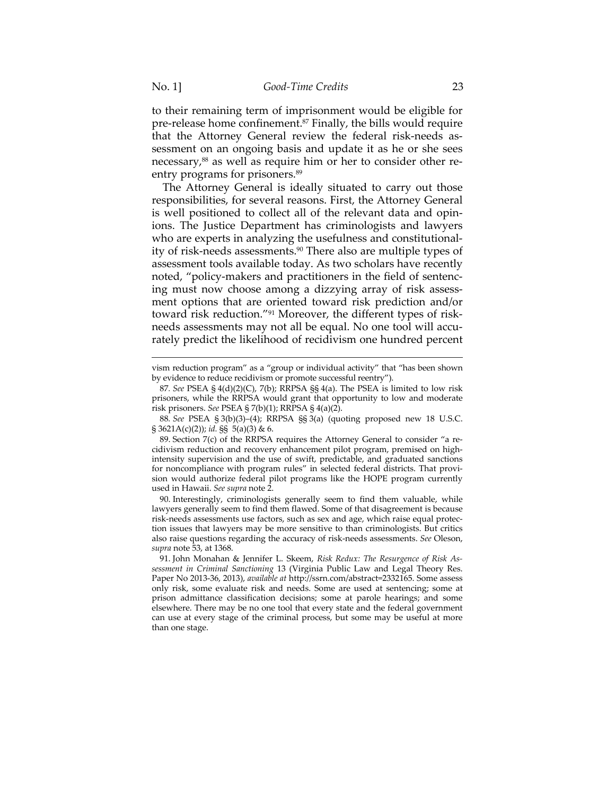to their remaining term of imprisonment would be eligible for pre-release home confinement.87 Finally, the bills would require that the Attorney General review the federal risk-needs assessment on an ongoing basis and update it as he or she sees necessary,<sup>88</sup> as well as require him or her to consider other reentry programs for prisoners.<sup>89</sup>

The Attorney General is ideally situated to carry out those responsibilities, for several reasons. First, the Attorney General is well positioned to collect all of the relevant data and opinions. The Justice Department has criminologists and lawyers who are experts in analyzing the usefulness and constitutionality of risk-needs assessments.90 There also are multiple types of assessment tools available today. As two scholars have recently noted, "policy-makers and practitioners in the field of sentencing must now choose among a dizzying array of risk assessment options that are oriented toward risk prediction and/or toward risk reduction."91 Moreover, the different types of riskneeds assessments may not all be equal. No one tool will accurately predict the likelihood of recidivism one hundred percent

vism reduction program" as a "group or individual activity" that "has been shown by evidence to reduce recidivism or promote successful reentry").

<sup>87</sup>*. See* PSEA § 4(d)(2)(C), 7(b); RRPSA §§ 4(a). The PSEA is limited to low risk prisoners, while the RRPSA would grant that opportunity to low and moderate risk prisoners. *See* PSEA § 7(b)(1); RRPSA § 4(a)(2).

<sup>88</sup>*. See* PSEA § 3(b)(3)–(4); RRPSA §§ 3(a) (quoting proposed new 18 U.S.C. § 3621A(c)(2)); *id.* §§ 5(a)(3) & 6.

 <sup>89.</sup> Section 7(c) of the RRPSA requires the Attorney General to consider "a recidivism reduction and recovery enhancement pilot program, premised on highintensity supervision and the use of swift, predictable, and graduated sanctions for noncompliance with program rules" in selected federal districts. That provision would authorize federal pilot programs like the HOPE program currently used in Hawaii. *See supra* note 2.

 <sup>90.</sup> Interestingly, criminologists generally seem to find them valuable, while lawyers generally seem to find them flawed. Some of that disagreement is because risk-needs assessments use factors, such as sex and age, which raise equal protection issues that lawyers may be more sensitive to than criminologists. But critics also raise questions regarding the accuracy of risk-needs assessments. *See* Oleson, *supra* note 53, at 1368.

 <sup>91.</sup> John Monahan & Jennifer L. Skeem, *Risk Redux: The Resurgence of Risk Assessment in Criminal Sanctioning* 13 (Virginia Public Law and Legal Theory Res. Paper No 2013-36, 2013), *available at* http://ssrn.com/abstract=2332165. Some assess only risk, some evaluate risk and needs. Some are used at sentencing; some at prison admittance classification decisions; some at parole hearings; and some elsewhere. There may be no one tool that every state and the federal government can use at every stage of the criminal process, but some may be useful at more than one stage.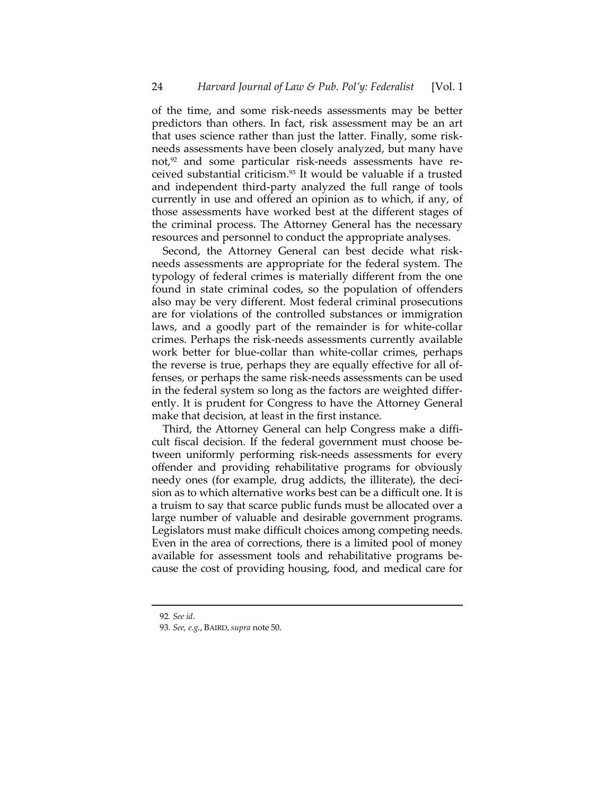of the time, and some risk-needs assessments may be better predictors than others. In fact, risk assessment may be an art that uses science rather than just the latter. Finally, some riskneeds assessments have been closely analyzed, but many have not,<sup>92</sup> and some particular risk-needs assessments have received substantial criticism.93 It would be valuable if a trusted and independent third-party analyzed the full range of tools currently in use and offered an opinion as to which, if any, of those assessments have worked best at the different stages of the criminal process. The Attorney General has the necessary resources and personnel to conduct the appropriate analyses.

Second, the Attorney General can best decide what riskneeds assessments are appropriate for the federal system. The typology of federal crimes is materially different from the one found in state criminal codes, so the population of offenders also may be very different. Most federal criminal prosecutions are for violations of the controlled substances or immigration laws, and a goodly part of the remainder is for white-collar crimes. Perhaps the risk-needs assessments currently available work better for blue-collar than white-collar crimes, perhaps the reverse is true, perhaps they are equally effective for all offenses, or perhaps the same risk-needs assessments can be used in the federal system so long as the factors are weighted differently. It is prudent for Congress to have the Attorney General make that decision, at least in the first instance.

Third, the Attorney General can help Congress make a difficult fiscal decision. If the federal government must choose between uniformly performing risk-needs assessments for every offender and providing rehabilitative programs for obviously needy ones (for example, drug addicts, the illiterate), the decision as to which alternative works best can be a difficult one. It is a truism to say that scarce public funds must be allocated over a large number of valuable and desirable government programs. Legislators must make difficult choices among competing needs. Even in the area of corrections, there is a limited pool of money available for assessment tools and rehabilitative programs because the cost of providing housing, food, and medical care for

<sup>92</sup>*. See id*.

<sup>93</sup>*. See, e.g.*, BAIRD, *supra* note 50.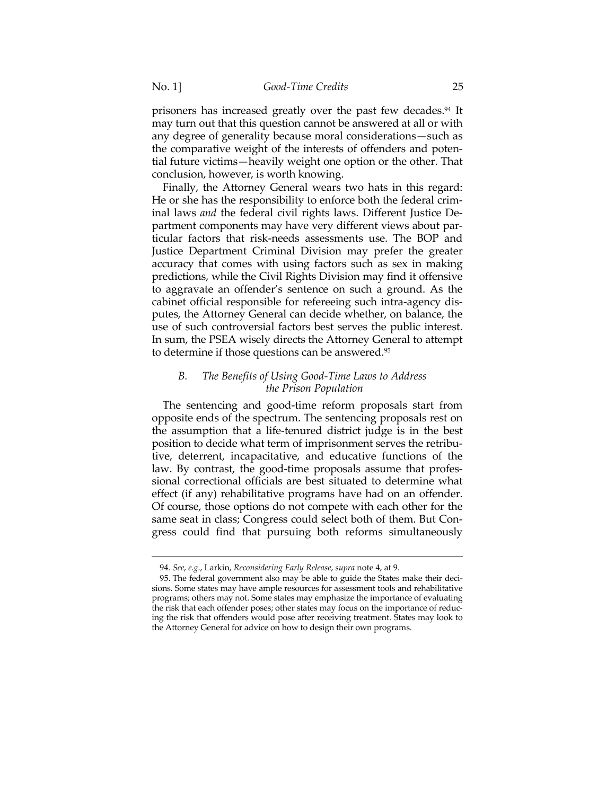prisoners has increased greatly over the past few decades.<sup>94</sup> It may turn out that this question cannot be answered at all or with any degree of generality because moral considerations—such as the comparative weight of the interests of offenders and potential future victims—heavily weight one option or the other. That conclusion, however, is worth knowing.

Finally, the Attorney General wears two hats in this regard: He or she has the responsibility to enforce both the federal criminal laws *and* the federal civil rights laws. Different Justice Department components may have very different views about particular factors that risk-needs assessments use. The BOP and Justice Department Criminal Division may prefer the greater accuracy that comes with using factors such as sex in making predictions, while the Civil Rights Division may find it offensive to aggravate an offender's sentence on such a ground. As the cabinet official responsible for refereeing such intra-agency disputes, the Attorney General can decide whether, on balance, the use of such controversial factors best serves the public interest. In sum, the PSEA wisely directs the Attorney General to attempt to determine if those questions can be answered.95

## *B. The Benefits of Using Good-Time Laws to Address the Prison Population*

The sentencing and good-time reform proposals start from opposite ends of the spectrum. The sentencing proposals rest on the assumption that a life-tenured district judge is in the best position to decide what term of imprisonment serves the retributive, deterrent, incapacitative, and educative functions of the law. By contrast, the good-time proposals assume that professional correctional officials are best situated to determine what effect (if any) rehabilitative programs have had on an offender. Of course, those options do not compete with each other for the same seat in class; Congress could select both of them. But Congress could find that pursuing both reforms simultaneously

<sup>94</sup>*. See*, *e.g*., Larkin, *Reconsidering Early Release*, *supra* note 4, at 9.

 <sup>95.</sup> The federal government also may be able to guide the States make their decisions. Some states may have ample resources for assessment tools and rehabilitative programs; others may not. Some states may emphasize the importance of evaluating the risk that each offender poses; other states may focus on the importance of reducing the risk that offenders would pose after receiving treatment. States may look to the Attorney General for advice on how to design their own programs.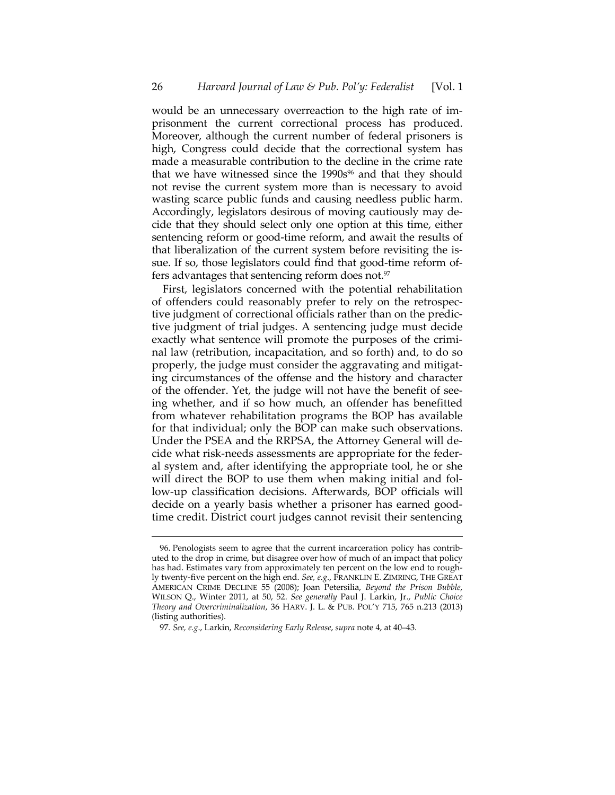would be an unnecessary overreaction to the high rate of imprisonment the current correctional process has produced. Moreover, although the current number of federal prisoners is high, Congress could decide that the correctional system has made a measurable contribution to the decline in the crime rate that we have witnessed since the  $1990s<sup>96</sup>$  and that they should not revise the current system more than is necessary to avoid wasting scarce public funds and causing needless public harm. Accordingly, legislators desirous of moving cautiously may decide that they should select only one option at this time, either sentencing reform or good-time reform, and await the results of that liberalization of the current system before revisiting the issue. If so, those legislators could find that good-time reform offers advantages that sentencing reform does not.<sup>97</sup>

First, legislators concerned with the potential rehabilitation of offenders could reasonably prefer to rely on the retrospective judgment of correctional officials rather than on the predictive judgment of trial judges. A sentencing judge must decide exactly what sentence will promote the purposes of the criminal law (retribution, incapacitation, and so forth) and, to do so properly, the judge must consider the aggravating and mitigating circumstances of the offense and the history and character of the offender. Yet, the judge will not have the benefit of seeing whether, and if so how much, an offender has benefitted from whatever rehabilitation programs the BOP has available for that individual; only the BOP can make such observations. Under the PSEA and the RRPSA, the Attorney General will decide what risk-needs assessments are appropriate for the federal system and, after identifying the appropriate tool, he or she will direct the BOP to use them when making initial and follow-up classification decisions. Afterwards, BOP officials will decide on a yearly basis whether a prisoner has earned goodtime credit. District court judges cannot revisit their sentencing

 <sup>96.</sup> Penologists seem to agree that the current incarceration policy has contributed to the drop in crime, but disagree over how of much of an impact that policy has had. Estimates vary from approximately ten percent on the low end to roughly twenty-five percent on the high end. *See, e.g*., FRANKLIN E. ZIMRING, THE GREAT AMERICAN CRIME DECLINE 55 (2008); Joan Petersilia, *Beyond the Prison Bubble*, WILSON Q., Winter 2011, at 50, 52. *See generally* Paul J. Larkin, Jr., *Public Choice Theory and Overcriminalization*, 36 HARV. J. L. & PUB. POL'Y 715, 765 n.213 (2013) (listing authorities).

<sup>97</sup>*. See, e.g*., Larkin, *Reconsidering Early Release*, *supra* note 4, at 40–43.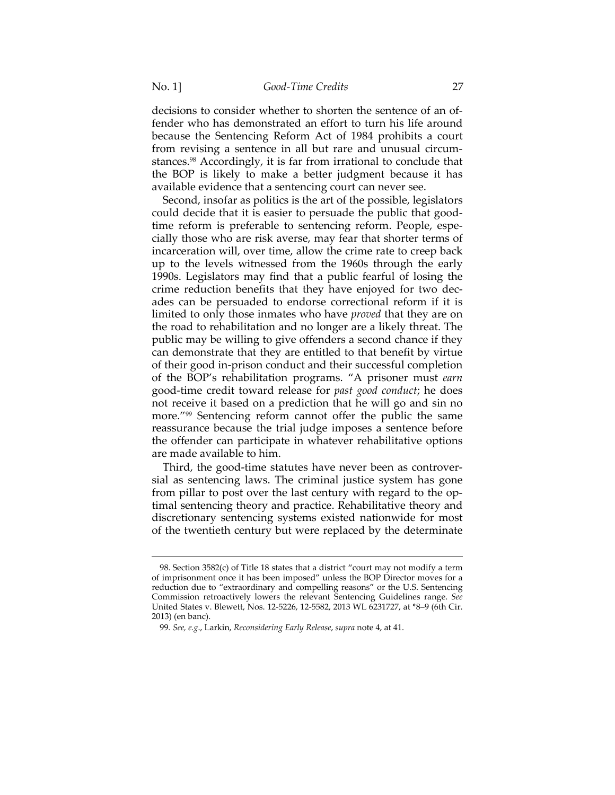decisions to consider whether to shorten the sentence of an offender who has demonstrated an effort to turn his life around because the Sentencing Reform Act of 1984 prohibits a court from revising a sentence in all but rare and unusual circumstances.<sup>98</sup> Accordingly, it is far from irrational to conclude that the BOP is likely to make a better judgment because it has available evidence that a sentencing court can never see.

Second, insofar as politics is the art of the possible, legislators could decide that it is easier to persuade the public that goodtime reform is preferable to sentencing reform. People, especially those who are risk averse, may fear that shorter terms of incarceration will, over time, allow the crime rate to creep back up to the levels witnessed from the 1960s through the early 1990s. Legislators may find that a public fearful of losing the crime reduction benefits that they have enjoyed for two decades can be persuaded to endorse correctional reform if it is limited to only those inmates who have *proved* that they are on the road to rehabilitation and no longer are a likely threat. The public may be willing to give offenders a second chance if they can demonstrate that they are entitled to that benefit by virtue of their good in-prison conduct and their successful completion of the BOP's rehabilitation programs. "A prisoner must *earn* good-time credit toward release for *past good conduct*; he does not receive it based on a prediction that he will go and sin no more."<sup>99</sup> Sentencing reform cannot offer the public the same reassurance because the trial judge imposes a sentence before the offender can participate in whatever rehabilitative options are made available to him.

Third, the good-time statutes have never been as controversial as sentencing laws. The criminal justice system has gone from pillar to post over the last century with regard to the optimal sentencing theory and practice. Rehabilitative theory and discretionary sentencing systems existed nationwide for most of the twentieth century but were replaced by the determinate

 <sup>98.</sup> Section 3582(c) of Title 18 states that a district "court may not modify a term of imprisonment once it has been imposed" unless the BOP Director moves for a reduction due to "extraordinary and compelling reasons" or the U.S. Sentencing Commission retroactively lowers the relevant Sentencing Guidelines range. *See* United States v. Blewett, Nos. 12-5226, 12-5582, 2013 WL 6231727, at \*8–9 (6th Cir. 2013) (en banc).

<sup>99</sup>*. See, e.g*., Larkin, *Reconsidering Early Release*, *supra* note 4, at 41.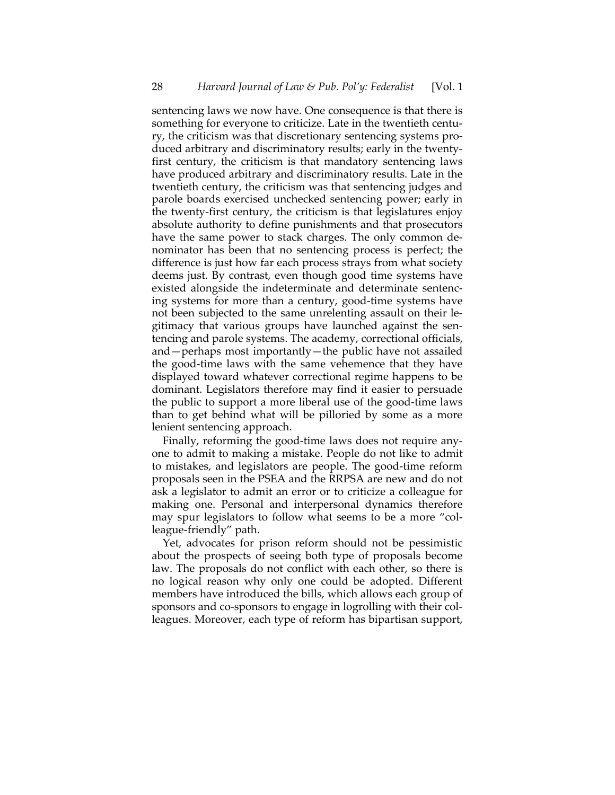sentencing laws we now have. One consequence is that there is something for everyone to criticize. Late in the twentieth century, the criticism was that discretionary sentencing systems produced arbitrary and discriminatory results; early in the twentyfirst century, the criticism is that mandatory sentencing laws have produced arbitrary and discriminatory results. Late in the twentieth century, the criticism was that sentencing judges and parole boards exercised unchecked sentencing power; early in the twenty-first century, the criticism is that legislatures enjoy absolute authority to define punishments and that prosecutors have the same power to stack charges. The only common denominator has been that no sentencing process is perfect; the difference is just how far each process strays from what society deems just. By contrast, even though good time systems have existed alongside the indeterminate and determinate sentencing systems for more than a century, good-time systems have not been subjected to the same unrelenting assault on their legitimacy that various groups have launched against the sentencing and parole systems. The academy, correctional officials, and—perhaps most importantly—the public have not assailed the good-time laws with the same vehemence that they have displayed toward whatever correctional regime happens to be dominant. Legislators therefore may find it easier to persuade the public to support a more liberal use of the good-time laws than to get behind what will be pilloried by some as a more lenient sentencing approach.

Finally, reforming the good-time laws does not require anyone to admit to making a mistake. People do not like to admit to mistakes, and legislators are people. The good-time reform proposals seen in the PSEA and the RRPSA are new and do not ask a legislator to admit an error or to criticize a colleague for making one. Personal and interpersonal dynamics therefore may spur legislators to follow what seems to be a more "colleague-friendly" path.

Yet, advocates for prison reform should not be pessimistic about the prospects of seeing both type of proposals become law. The proposals do not conflict with each other, so there is no logical reason why only one could be adopted. Different members have introduced the bills, which allows each group of sponsors and co-sponsors to engage in logrolling with their colleagues. Moreover, each type of reform has bipartisan support,